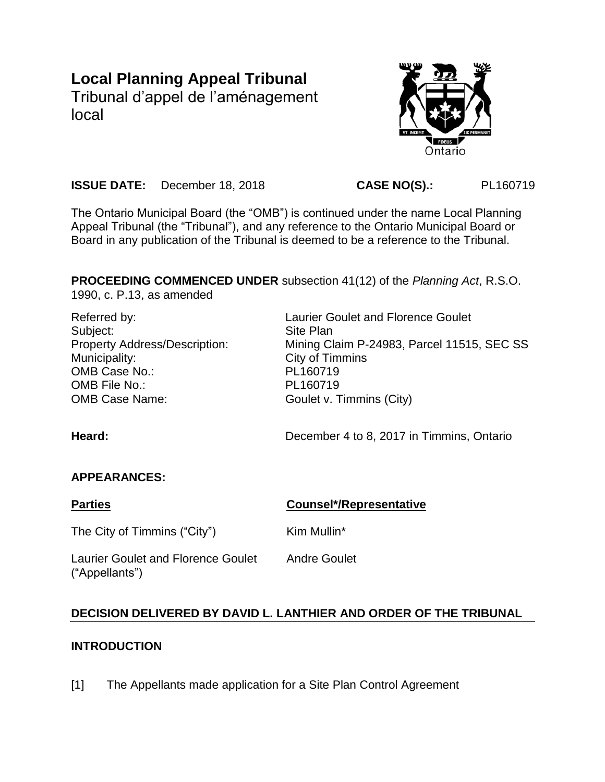# **Local Planning Appeal Tribunal**

Tribunal d'appel de l'aménagement local



**ISSUE DATE:** December 18, 2018 **CASE NO(S).:** PL160719

The Ontario Municipal Board (the "OMB") is continued under the name Local Planning Appeal Tribunal (the "Tribunal"), and any reference to the Ontario Municipal Board or Board in any publication of the Tribunal is deemed to be a reference to the Tribunal.

**PROCEEDING COMMENCED UNDER** subsection 41(12) of the *Planning Act*, R.S.O. 1990, c. P.13, as amended

| Referred by:                         | <b>Laurier Goulet and Florence Goulet</b>  |
|--------------------------------------|--------------------------------------------|
| Subject:                             | Site Plan                                  |
| <b>Property Address/Description:</b> | Mining Claim P-24983, Parcel 11515, SEC SS |
| Municipality:                        | City of Timmins                            |
| OMB Case No.:                        | PL160719                                   |
| OMB File No.:                        | PL160719                                   |
| <b>OMB Case Name:</b>                | Goulet v. Timmins (City)                   |
| Heard:                               | December 4 to 8, 2017 in Timmins, Ontario  |

# **APPEARANCES:**

**Parties Counsel\*/Representative** The City of Timmins ("City") Kim Mullin\* Laurier Goulet and Florence Goulet ("Appellants") Andre Goulet

# **DECISION DELIVERED BY DAVID L. LANTHIER AND ORDER OF THE TRIBUNAL**

# **INTRODUCTION**

[1] The Appellants made application for a Site Plan Control Agreement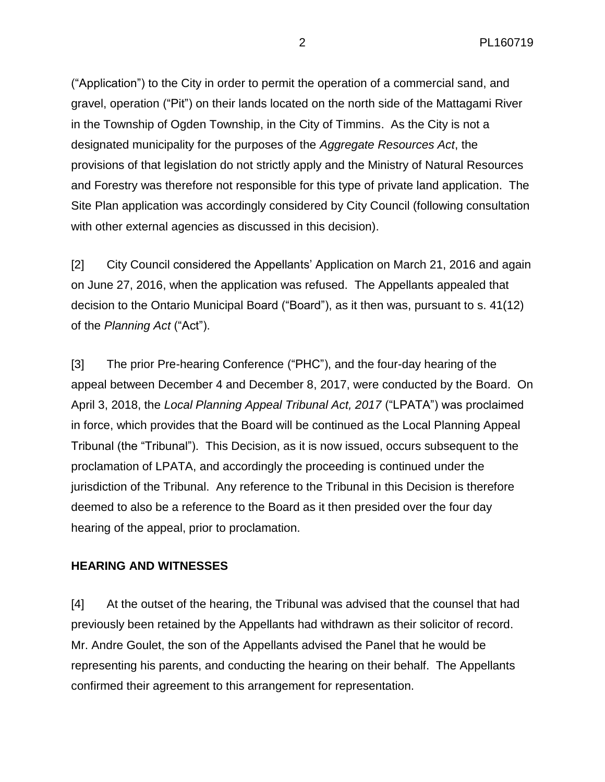("Application") to the City in order to permit the operation of a commercial sand, and gravel, operation ("Pit") on their lands located on the north side of the Mattagami River in the Township of Ogden Township, in the City of Timmins. As the City is not a designated municipality for the purposes of the *Aggregate Resources Act*, the provisions of that legislation do not strictly apply and the Ministry of Natural Resources and Forestry was therefore not responsible for this type of private land application. The Site Plan application was accordingly considered by City Council (following consultation with other external agencies as discussed in this decision).

[2] City Council considered the Appellants' Application on March 21, 2016 and again on June 27, 2016, when the application was refused. The Appellants appealed that decision to the Ontario Municipal Board ("Board"), as it then was, pursuant to s. 41(12) of the *Planning Act* ("Act").

[3] The prior Pre-hearing Conference ("PHC"), and the four-day hearing of the appeal between December 4 and December 8, 2017, were conducted by the Board. On April 3, 2018, the *Local Planning Appeal Tribunal Act, 2017* ("LPATA") was proclaimed in force, which provides that the Board will be continued as the Local Planning Appeal Tribunal (the "Tribunal"). This Decision, as it is now issued, occurs subsequent to the proclamation of LPATA, and accordingly the proceeding is continued under the jurisdiction of the Tribunal. Any reference to the Tribunal in this Decision is therefore deemed to also be a reference to the Board as it then presided over the four day hearing of the appeal, prior to proclamation.

#### **HEARING AND WITNESSES**

[4] At the outset of the hearing, the Tribunal was advised that the counsel that had previously been retained by the Appellants had withdrawn as their solicitor of record. Mr. Andre Goulet, the son of the Appellants advised the Panel that he would be representing his parents, and conducting the hearing on their behalf. The Appellants confirmed their agreement to this arrangement for representation.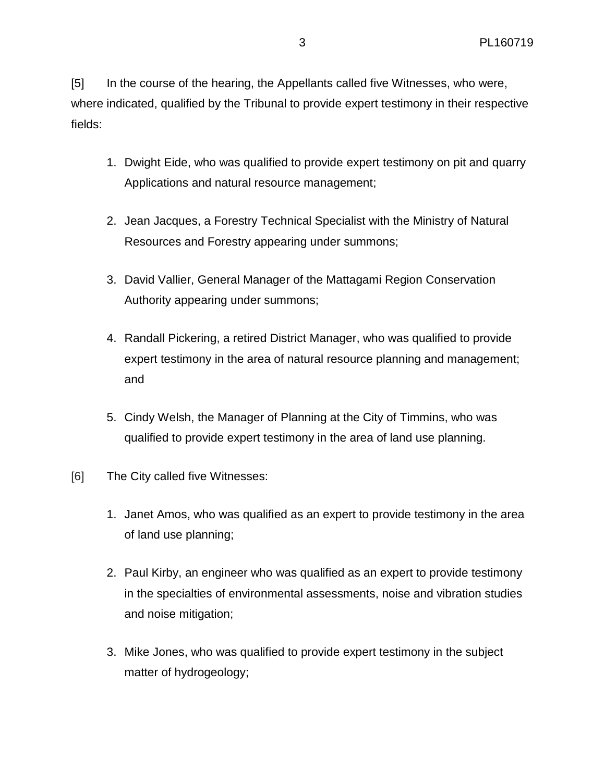[5] In the course of the hearing, the Appellants called five Witnesses, who were, where indicated, qualified by the Tribunal to provide expert testimony in their respective fields:

- 1. Dwight Eide, who was qualified to provide expert testimony on pit and quarry Applications and natural resource management;
- 2. Jean Jacques, a Forestry Technical Specialist with the Ministry of Natural Resources and Forestry appearing under summons;
- 3. David Vallier, General Manager of the Mattagami Region Conservation Authority appearing under summons;
- 4. Randall Pickering, a retired District Manager, who was qualified to provide expert testimony in the area of natural resource planning and management; and
- 5. Cindy Welsh, the Manager of Planning at the City of Timmins, who was qualified to provide expert testimony in the area of land use planning.
- [6] The City called five Witnesses:
	- 1. Janet Amos, who was qualified as an expert to provide testimony in the area of land use planning;
	- 2. Paul Kirby, an engineer who was qualified as an expert to provide testimony in the specialties of environmental assessments, noise and vibration studies and noise mitigation;
	- 3. Mike Jones, who was qualified to provide expert testimony in the subject matter of hydrogeology;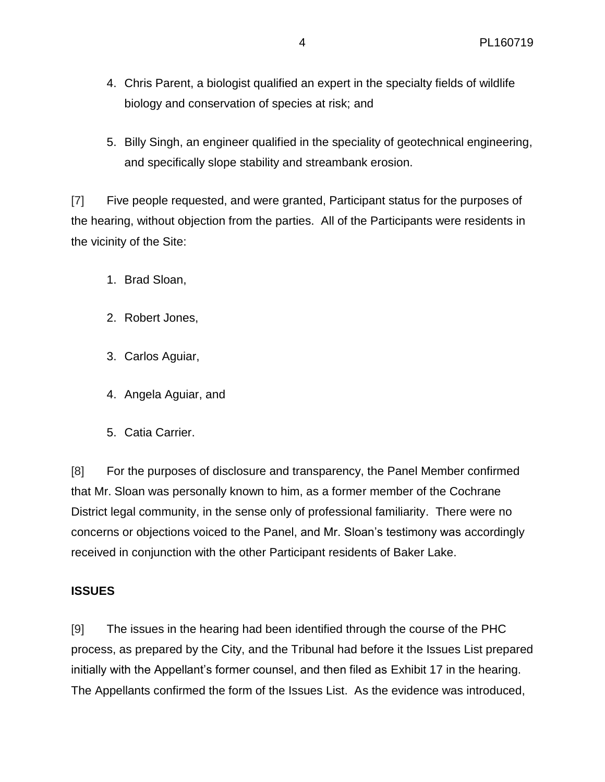- 4. Chris Parent, a biologist qualified an expert in the specialty fields of wildlife biology and conservation of species at risk; and
- 5. Billy Singh, an engineer qualified in the speciality of geotechnical engineering, and specifically slope stability and streambank erosion.

[7] Five people requested, and were granted, Participant status for the purposes of the hearing, without objection from the parties. All of the Participants were residents in the vicinity of the Site:

- 1. Brad Sloan,
- 2. Robert Jones,
- 3. Carlos Aguiar,
- 4. Angela Aguiar, and
- 5. Catia Carrier.

[8] For the purposes of disclosure and transparency, the Panel Member confirmed that Mr. Sloan was personally known to him, as a former member of the Cochrane District legal community, in the sense only of professional familiarity. There were no concerns or objections voiced to the Panel, and Mr. Sloan's testimony was accordingly received in conjunction with the other Participant residents of Baker Lake.

#### **ISSUES**

[9] The issues in the hearing had been identified through the course of the PHC process, as prepared by the City, and the Tribunal had before it the Issues List prepared initially with the Appellant's former counsel, and then filed as Exhibit 17 in the hearing. The Appellants confirmed the form of the Issues List. As the evidence was introduced,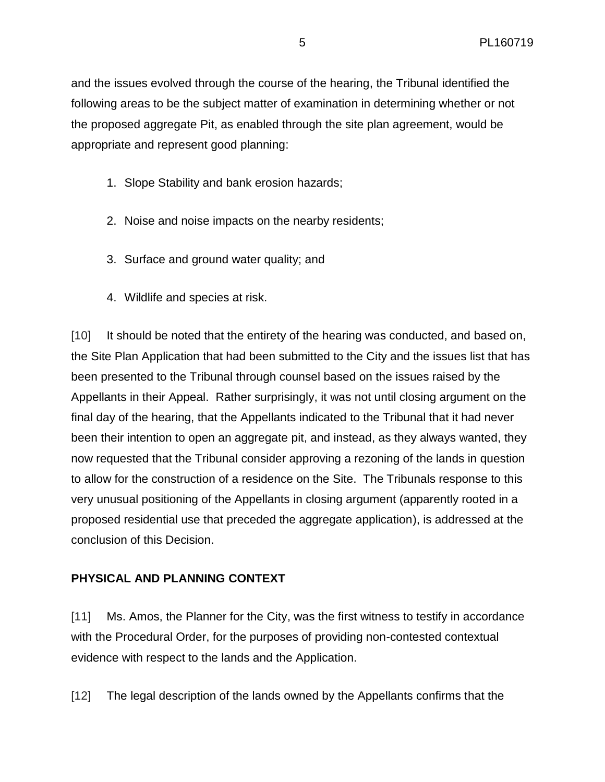and the issues evolved through the course of the hearing, the Tribunal identified the following areas to be the subject matter of examination in determining whether or not the proposed aggregate Pit, as enabled through the site plan agreement, would be appropriate and represent good planning:

- 1. Slope Stability and bank erosion hazards;
- 2. Noise and noise impacts on the nearby residents;
- 3. Surface and ground water quality; and
- 4. Wildlife and species at risk.

[10] It should be noted that the entirety of the hearing was conducted, and based on, the Site Plan Application that had been submitted to the City and the issues list that has been presented to the Tribunal through counsel based on the issues raised by the Appellants in their Appeal. Rather surprisingly, it was not until closing argument on the final day of the hearing, that the Appellants indicated to the Tribunal that it had never been their intention to open an aggregate pit, and instead, as they always wanted, they now requested that the Tribunal consider approving a rezoning of the lands in question to allow for the construction of a residence on the Site. The Tribunals response to this very unusual positioning of the Appellants in closing argument (apparently rooted in a proposed residential use that preceded the aggregate application), is addressed at the conclusion of this Decision.

# **PHYSICAL AND PLANNING CONTEXT**

[11] Ms. Amos, the Planner for the City, was the first witness to testify in accordance with the Procedural Order, for the purposes of providing non-contested contextual evidence with respect to the lands and the Application.

[12] The legal description of the lands owned by the Appellants confirms that the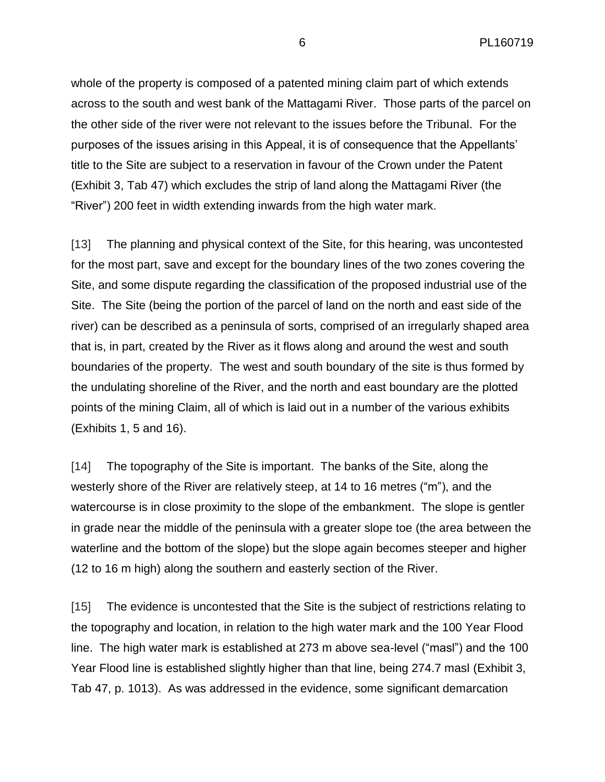whole of the property is composed of a patented mining claim part of which extends across to the south and west bank of the Mattagami River. Those parts of the parcel on the other side of the river were not relevant to the issues before the Tribunal. For the purposes of the issues arising in this Appeal, it is of consequence that the Appellants' title to the Site are subject to a reservation in favour of the Crown under the Patent (Exhibit 3, Tab 47) which excludes the strip of land along the Mattagami River (the "River") 200 feet in width extending inwards from the high water mark.

[13] The planning and physical context of the Site, for this hearing, was uncontested for the most part, save and except for the boundary lines of the two zones covering the Site, and some dispute regarding the classification of the proposed industrial use of the Site. The Site (being the portion of the parcel of land on the north and east side of the river) can be described as a peninsula of sorts, comprised of an irregularly shaped area that is, in part, created by the River as it flows along and around the west and south boundaries of the property. The west and south boundary of the site is thus formed by the undulating shoreline of the River, and the north and east boundary are the plotted points of the mining Claim, all of which is laid out in a number of the various exhibits (Exhibits 1, 5 and 16).

[14] The topography of the Site is important. The banks of the Site, along the westerly shore of the River are relatively steep, at 14 to 16 metres ("m"), and the watercourse is in close proximity to the slope of the embankment. The slope is gentler in grade near the middle of the peninsula with a greater slope toe (the area between the waterline and the bottom of the slope) but the slope again becomes steeper and higher (12 to 16 m high) along the southern and easterly section of the River.

[15] The evidence is uncontested that the Site is the subject of restrictions relating to the topography and location, in relation to the high water mark and the 100 Year Flood line. The high water mark is established at 273 m above sea-level ("masl") and the 100 Year Flood line is established slightly higher than that line, being 274.7 masl (Exhibit 3, Tab 47, p. 1013).As was addressed in the evidence, some significant demarcation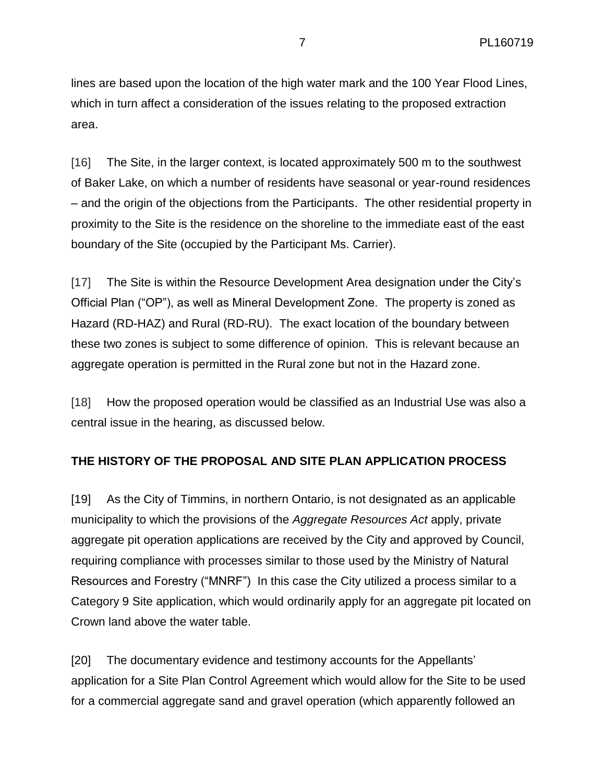lines are based upon the location of the high water mark and the 100 Year Flood Lines, which in turn affect a consideration of the issues relating to the proposed extraction area.

[16] The Site, in the larger context, is located approximately 500 m to the southwest of Baker Lake, on which a number of residents have seasonal or year-round residences – and the origin of the objections from the Participants. The other residential property in proximity to the Site is the residence on the shoreline to the immediate east of the east boundary of the Site (occupied by the Participant Ms. Carrier).

[17] The Site is within the Resource Development Area designation under the City's Official Plan ("OP"), as well as Mineral Development Zone. The property is zoned as Hazard (RD-HAZ) and Rural (RD-RU). The exact location of the boundary between these two zones is subject to some difference of opinion. This is relevant because an aggregate operation is permitted in the Rural zone but not in the Hazard zone.

[18] How the proposed operation would be classified as an Industrial Use was also a central issue in the hearing, as discussed below.

# **THE HISTORY OF THE PROPOSAL AND SITE PLAN APPLICATION PROCESS**

[19] As the City of Timmins, in northern Ontario, is not designated as an applicable municipality to which the provisions of the *Aggregate Resources Act* apply, private aggregate pit operation applications are received by the City and approved by Council, requiring compliance with processes similar to those used by the Ministry of Natural Resources and Forestry ("MNRF") In this case the City utilized a process similar to a Category 9 Site application, which would ordinarily apply for an aggregate pit located on Crown land above the water table.

[20] The documentary evidence and testimony accounts for the Appellants' application for a Site Plan Control Agreement which would allow for the Site to be used for a commercial aggregate sand and gravel operation (which apparently followed an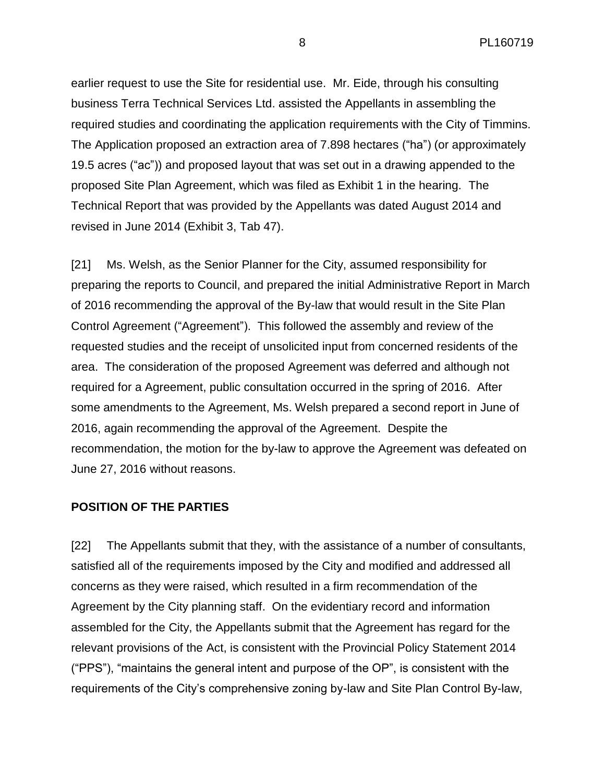earlier request to use the Site for residential use. Mr. Eide, through his consulting business Terra Technical Services Ltd. assisted the Appellants in assembling the required studies and coordinating the application requirements with the City of Timmins. The Application proposed an extraction area of 7.898 hectares ("ha") (or approximately 19.5 acres ("ac")) and proposed layout that was set out in a drawing appended to the proposed Site Plan Agreement, which was filed as Exhibit 1 in the hearing. The Technical Report that was provided by the Appellants was dated August 2014 and revised in June 2014 (Exhibit 3, Tab 47).

[21] Ms. Welsh, as the Senior Planner for the City, assumed responsibility for preparing the reports to Council, and prepared the initial Administrative Report in March of 2016 recommending the approval of the By-law that would result in the Site Plan Control Agreement ("Agreement"). This followed the assembly and review of the requested studies and the receipt of unsolicited input from concerned residents of the area. The consideration of the proposed Agreement was deferred and although not required for a Agreement, public consultation occurred in the spring of 2016. After some amendments to the Agreement, Ms. Welsh prepared a second report in June of 2016, again recommending the approval of the Agreement. Despite the recommendation, the motion for the by-law to approve the Agreement was defeated on June 27, 2016 without reasons.

#### **POSITION OF THE PARTIES**

[22] The Appellants submit that they, with the assistance of a number of consultants, satisfied all of the requirements imposed by the City and modified and addressed all concerns as they were raised, which resulted in a firm recommendation of the Agreement by the City planning staff. On the evidentiary record and information assembled for the City, the Appellants submit that the Agreement has regard for the relevant provisions of the Act, is consistent with the Provincial Policy Statement 2014 ("PPS"), "maintains the general intent and purpose of the OP", is consistent with the requirements of the City's comprehensive zoning by-law and Site Plan Control By-law,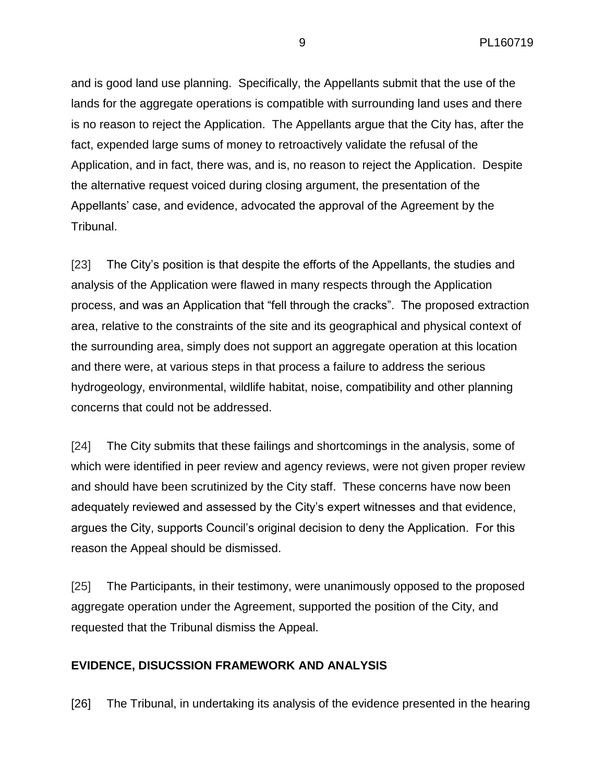and is good land use planning. Specifically, the Appellants submit that the use of the lands for the aggregate operations is compatible with surrounding land uses and there is no reason to reject the Application. The Appellants argue that the City has, after the fact, expended large sums of money to retroactively validate the refusal of the Application, and in fact, there was, and is, no reason to reject the Application. Despite the alternative request voiced during closing argument, the presentation of the Appellants' case, and evidence, advocated the approval of the Agreement by the Tribunal.

[23] The City's position is that despite the efforts of the Appellants, the studies and analysis of the Application were flawed in many respects through the Application process, and was an Application that "fell through the cracks". The proposed extraction area, relative to the constraints of the site and its geographical and physical context of the surrounding area, simply does not support an aggregate operation at this location and there were, at various steps in that process a failure to address the serious hydrogeology, environmental, wildlife habitat, noise, compatibility and other planning concerns that could not be addressed.

[24] The City submits that these failings and shortcomings in the analysis, some of which were identified in peer review and agency reviews, were not given proper review and should have been scrutinized by the City staff. These concerns have now been adequately reviewed and assessed by the City's expert witnesses and that evidence, argues the City, supports Council's original decision to deny the Application. For this reason the Appeal should be dismissed.

[25] The Participants, in their testimony, were unanimously opposed to the proposed aggregate operation under the Agreement, supported the position of the City, and requested that the Tribunal dismiss the Appeal.

# **EVIDENCE, DISUCSSION FRAMEWORK AND ANALYSIS**

[26] The Tribunal, in undertaking its analysis of the evidence presented in the hearing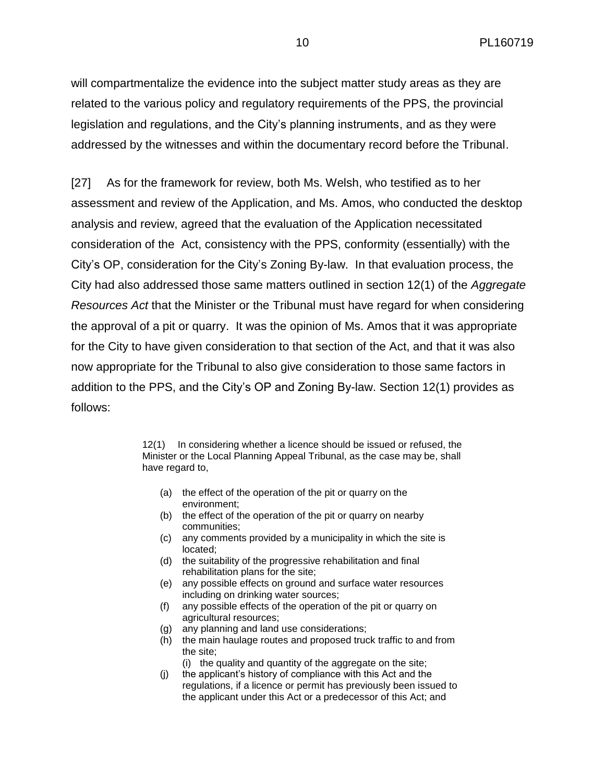will compartmentalize the evidence into the subject matter study areas as they are related to the various policy and regulatory requirements of the PPS, the provincial legislation and regulations, and the City's planning instruments, and as they were addressed by the witnesses and within the documentary record before the Tribunal.

[27] As for the framework for review, both Ms. Welsh, who testified as to her assessment and review of the Application, and Ms. Amos, who conducted the desktop analysis and review, agreed that the evaluation of the Application necessitated consideration of the Act, consistency with the PPS, conformity (essentially) with the City's OP, consideration for the City's Zoning By-law. In that evaluation process, the City had also addressed those same matters outlined in section 12(1) of the *Aggregate Resources Act* that the Minister or the Tribunal must have regard for when considering the approval of a pit or quarry. It was the opinion of Ms. Amos that it was appropriate for the City to have given consideration to that section of the Act, and that it was also now appropriate for the Tribunal to also give consideration to those same factors in addition to the PPS, and the City's OP and Zoning By-law. Section 12(1) provides as follows:

> 12(1) In considering whether a licence should be issued or refused, the Minister or the Local Planning Appeal Tribunal, as the case may be, shall have regard to,

- (a) the effect of the operation of the pit or quarry on the environment;
- (b) the effect of the operation of the pit or quarry on nearby communities;
- (c) any comments provided by a municipality in which the site is located;
- (d) the suitability of the progressive rehabilitation and final rehabilitation plans for the site;
- (e) any possible effects on ground and surface water resources including on drinking water sources;
- (f) any possible effects of the operation of the pit or quarry on agricultural resources;
- (g) any planning and land use considerations;
- (h) the main haulage routes and proposed truck traffic to and from the site;
	- (i) the quality and quantity of the aggregate on the site;
- (j) the applicant's history of compliance with this Act and the regulations, if a licence or permit has previously been issued to the applicant under this Act or a predecessor of this Act; and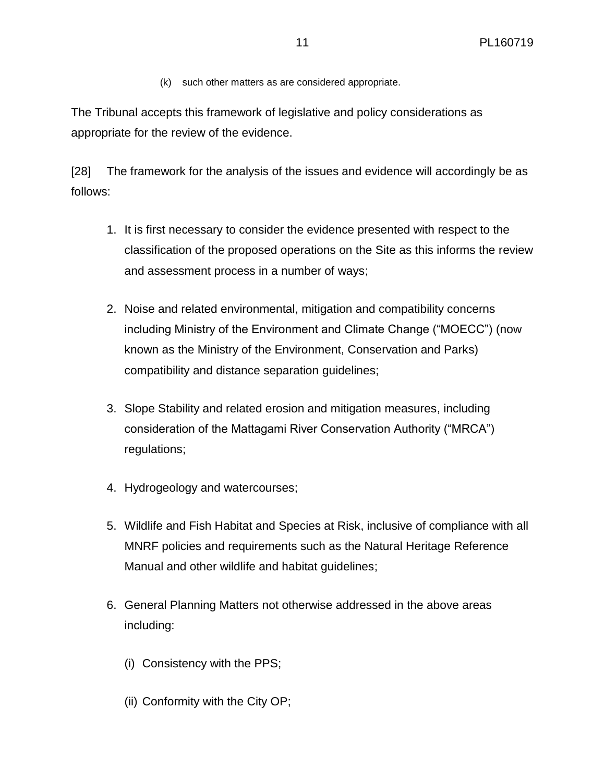(k) such other matters as are considered appropriate.

The Tribunal accepts this framework of legislative and policy considerations as appropriate for the review of the evidence.

[28] The framework for the analysis of the issues and evidence will accordingly be as follows:

- 1. It is first necessary to consider the evidence presented with respect to the classification of the proposed operations on the Site as this informs the review and assessment process in a number of ways;
- 2. Noise and related environmental, mitigation and compatibility concerns including Ministry of the Environment and Climate Change ("MOECC") (now known as the Ministry of the Environment, Conservation and Parks) compatibility and distance separation guidelines;
- 3. Slope Stability and related erosion and mitigation measures, including consideration of the Mattagami River Conservation Authority ("MRCA") regulations;
- 4. Hydrogeology and watercourses;
- 5. Wildlife and Fish Habitat and Species at Risk, inclusive of compliance with all MNRF policies and requirements such as the Natural Heritage Reference Manual and other wildlife and habitat guidelines;
- 6. General Planning Matters not otherwise addressed in the above areas including:
	- (i) Consistency with the PPS;
	- (ii) Conformity with the City OP;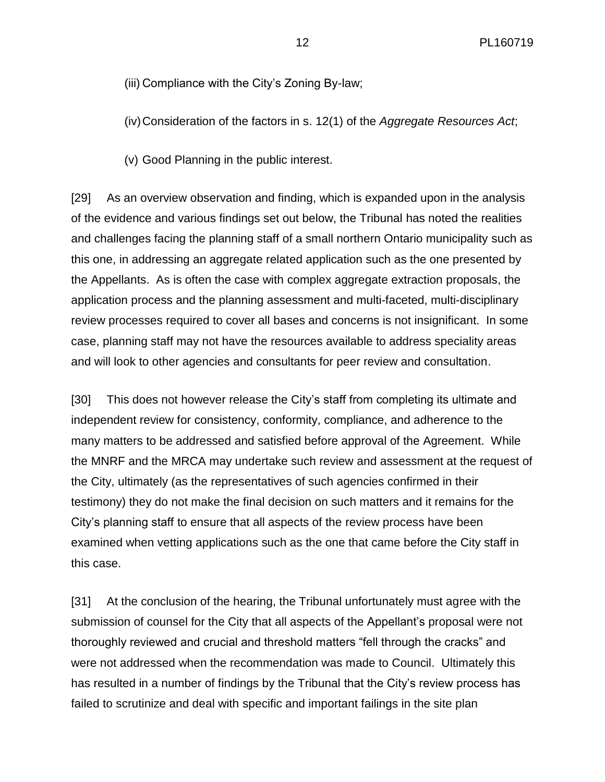(iii) Compliance with the City's Zoning By-law;

(iv)Consideration of the factors in s. 12(1) of the *Aggregate Resources Act*;

(v) Good Planning in the public interest.

[29] As an overview observation and finding, which is expanded upon in the analysis of the evidence and various findings set out below, the Tribunal has noted the realities and challenges facing the planning staff of a small northern Ontario municipality such as this one, in addressing an aggregate related application such as the one presented by the Appellants. As is often the case with complex aggregate extraction proposals, the application process and the planning assessment and multi-faceted, multi-disciplinary review processes required to cover all bases and concerns is not insignificant. In some case, planning staff may not have the resources available to address speciality areas and will look to other agencies and consultants for peer review and consultation.

[30] This does not however release the City's staff from completing its ultimate and independent review for consistency, conformity, compliance, and adherence to the many matters to be addressed and satisfied before approval of the Agreement. While the MNRF and the MRCA may undertake such review and assessment at the request of the City, ultimately (as the representatives of such agencies confirmed in their testimony) they do not make the final decision on such matters and it remains for the City's planning staff to ensure that all aspects of the review process have been examined when vetting applications such as the one that came before the City staff in this case.

[31] At the conclusion of the hearing, the Tribunal unfortunately must agree with the submission of counsel for the City that all aspects of the Appellant's proposal were not thoroughly reviewed and crucial and threshold matters "fell through the cracks" and were not addressed when the recommendation was made to Council. Ultimately this has resulted in a number of findings by the Tribunal that the City's review process has failed to scrutinize and deal with specific and important failings in the site plan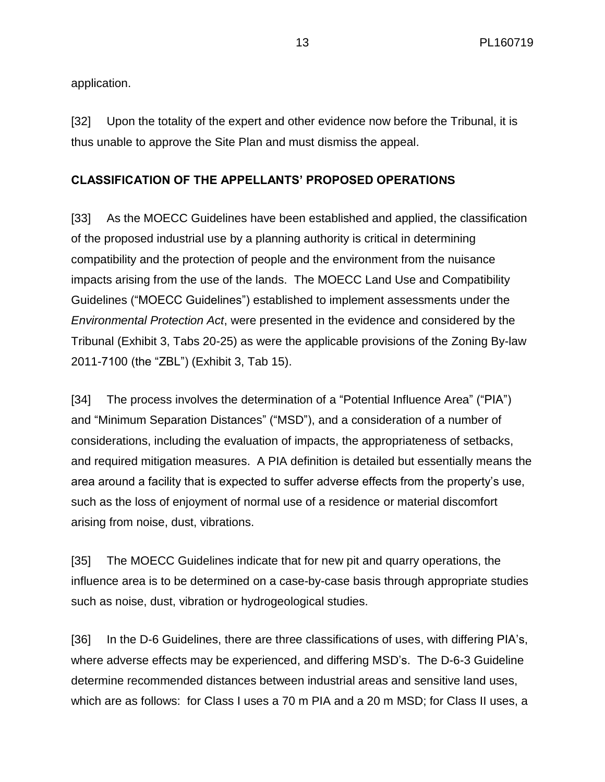application.

[32] Upon the totality of the expert and other evidence now before the Tribunal, it is thus unable to approve the Site Plan and must dismiss the appeal.

## **CLASSIFICATION OF THE APPELLANTS' PROPOSED OPERATIONS**

[33] As the MOECC Guidelines have been established and applied, the classification of the proposed industrial use by a planning authority is critical in determining compatibility and the protection of people and the environment from the nuisance impacts arising from the use of the lands. The MOECC Land Use and Compatibility Guidelines ("MOECC Guidelines") established to implement assessments under the *Environmental Protection Act*, were presented in the evidence and considered by the Tribunal (Exhibit 3, Tabs 20-25) as were the applicable provisions of the Zoning By-law 2011-7100 (the "ZBL") (Exhibit 3, Tab 15).

[34] The process involves the determination of a "Potential Influence Area" ("PIA") and "Minimum Separation Distances" ("MSD"), and a consideration of a number of considerations, including the evaluation of impacts, the appropriateness of setbacks, and required mitigation measures. A PIA definition is detailed but essentially means the area around a facility that is expected to suffer adverse effects from the property's use, such as the loss of enjoyment of normal use of a residence or material discomfort arising from noise, dust, vibrations.

[35] The MOECC Guidelines indicate that for new pit and quarry operations, the influence area is to be determined on a case-by-case basis through appropriate studies such as noise, dust, vibration or hydrogeological studies.

[36] In the D-6 Guidelines, there are three classifications of uses, with differing PIA's, where adverse effects may be experienced, and differing MSD's. The D-6-3 Guideline determine recommended distances between industrial areas and sensitive land uses, which are as follows: for Class I uses a 70 m PIA and a 20 m MSD; for Class II uses, a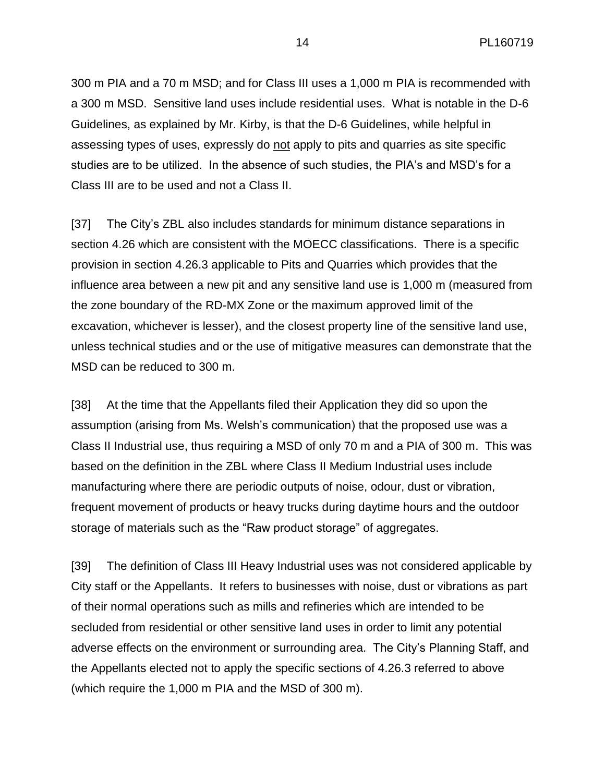300 m PIA and a 70 m MSD; and for Class III uses a 1,000 m PIA is recommended with a 300 m MSD. Sensitive land uses include residential uses. What is notable in the D-6 Guidelines, as explained by Mr. Kirby, is that the D-6 Guidelines, while helpful in assessing types of uses, expressly do not apply to pits and quarries as site specific studies are to be utilized. In the absence of such studies, the PIA's and MSD's for a Class III are to be used and not a Class II.

[37] The City's ZBL also includes standards for minimum distance separations in section 4.26 which are consistent with the MOECC classifications. There is a specific provision in section 4.26.3 applicable to Pits and Quarries which provides that the influence area between a new pit and any sensitive land use is 1,000 m (measured from the zone boundary of the RD-MX Zone or the maximum approved limit of the excavation, whichever is lesser), and the closest property line of the sensitive land use, unless technical studies and or the use of mitigative measures can demonstrate that the MSD can be reduced to 300 m.

[38] At the time that the Appellants filed their Application they did so upon the assumption (arising from Ms. Welsh's communication) that the proposed use was a Class II Industrial use, thus requiring a MSD of only 70 m and a PIA of 300 m. This was based on the definition in the ZBL where Class II Medium Industrial uses include manufacturing where there are periodic outputs of noise, odour, dust or vibration, frequent movement of products or heavy trucks during daytime hours and the outdoor storage of materials such as the "Raw product storage" of aggregates.

[39] The definition of Class III Heavy Industrial uses was not considered applicable by City staff or the Appellants. It refers to businesses with noise, dust or vibrations as part of their normal operations such as mills and refineries which are intended to be secluded from residential or other sensitive land uses in order to limit any potential adverse effects on the environment or surrounding area. The City's Planning Staff, and the Appellants elected not to apply the specific sections of 4.26.3 referred to above (which require the 1,000 m PIA and the MSD of 300 m).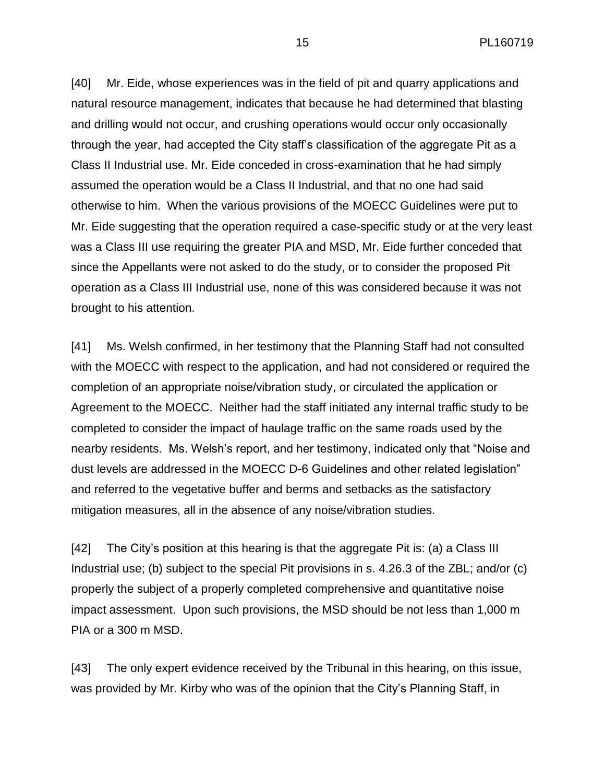15 PL160719

[40] Mr. Eide, whose experiences was in the field of pit and quarry applications and natural resource management, indicates that because he had determined that blasting and drilling would not occur, and crushing operations would occur only occasionally through the year, had accepted the City staff's classification of the aggregate Pit as a Class II Industrial use. Mr. Eide conceded in cross-examination that he had simply assumed the operation would be a Class II Industrial, and that no one had said otherwise to him. When the various provisions of the MOECC Guidelines were put to Mr. Eide suggesting that the operation required a case-specific study or at the very least was a Class III use requiring the greater PIA and MSD, Mr. Eide further conceded that since the Appellants were not asked to do the study, or to consider the proposed Pit operation as a Class III Industrial use, none of this was considered because it was not brought to his attention.

[41] Ms. Welsh confirmed, in her testimony that the Planning Staff had not consulted with the MOECC with respect to the application, and had not considered or required the completion of an appropriate noise/vibration study, or circulated the application or Agreement to the MOECC. Neither had the staff initiated any internal traffic study to be completed to consider the impact of haulage traffic on the same roads used by the nearby residents. Ms. Welsh's report, and her testimony, indicated only that "Noise and dust levels are addressed in the MOECC D-6 Guidelines and other related legislation" and referred to the vegetative buffer and berms and setbacks as the satisfactory mitigation measures, all in the absence of any noise/vibration studies.

[42] The City's position at this hearing is that the aggregate Pit is: (a) a Class III Industrial use; (b) subject to the special Pit provisions in s. 4.26.3 of the ZBL; and/or (c) properly the subject of a properly completed comprehensive and quantitative noise impact assessment. Upon such provisions, the MSD should be not less than 1,000 m PIA or a 300 m MSD.

[43] The only expert evidence received by the Tribunal in this hearing, on this issue, was provided by Mr. Kirby who was of the opinion that the City's Planning Staff, in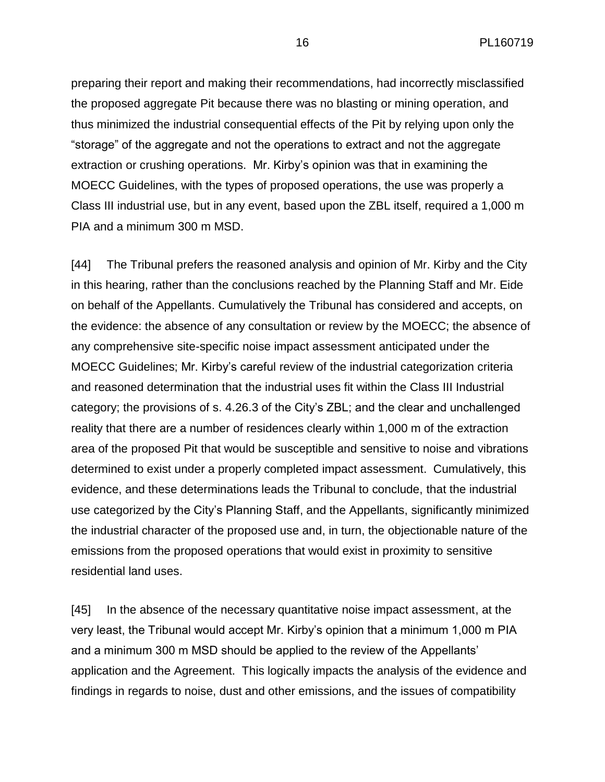preparing their report and making their recommendations, had incorrectly misclassified the proposed aggregate Pit because there was no blasting or mining operation, and thus minimized the industrial consequential effects of the Pit by relying upon only the "storage" of the aggregate and not the operations to extract and not the aggregate extraction or crushing operations. Mr. Kirby's opinion was that in examining the MOECC Guidelines, with the types of proposed operations, the use was properly a Class III industrial use, but in any event, based upon the ZBL itself, required a 1,000 m PIA and a minimum 300 m MSD.

[44] The Tribunal prefers the reasoned analysis and opinion of Mr. Kirby and the City in this hearing, rather than the conclusions reached by the Planning Staff and Mr. Eide on behalf of the Appellants. Cumulatively the Tribunal has considered and accepts, on the evidence: the absence of any consultation or review by the MOECC; the absence of any comprehensive site-specific noise impact assessment anticipated under the MOECC Guidelines; Mr. Kirby's careful review of the industrial categorization criteria and reasoned determination that the industrial uses fit within the Class III Industrial category; the provisions of s. 4.26.3 of the City's ZBL; and the clear and unchallenged reality that there are a number of residences clearly within 1,000 m of the extraction area of the proposed Pit that would be susceptible and sensitive to noise and vibrations determined to exist under a properly completed impact assessment. Cumulatively, this evidence, and these determinations leads the Tribunal to conclude, that the industrial use categorized by the City's Planning Staff, and the Appellants, significantly minimized the industrial character of the proposed use and, in turn, the objectionable nature of the emissions from the proposed operations that would exist in proximity to sensitive residential land uses.

[45] In the absence of the necessary quantitative noise impact assessment, at the very least, the Tribunal would accept Mr. Kirby's opinion that a minimum 1,000 m PIA and a minimum 300 m MSD should be applied to the review of the Appellants' application and the Agreement. This logically impacts the analysis of the evidence and findings in regards to noise, dust and other emissions, and the issues of compatibility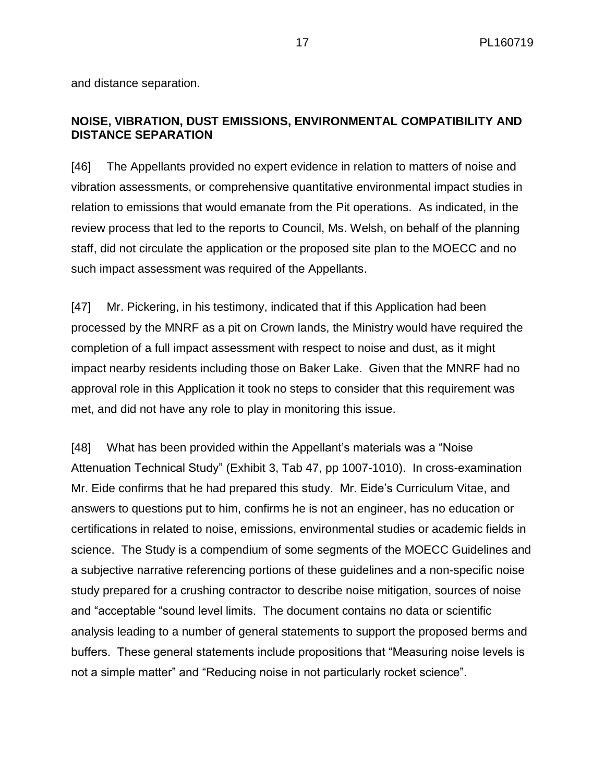and distance separation.

# **NOISE, VIBRATION, DUST EMISSIONS, ENVIRONMENTAL COMPATIBILITY AND DISTANCE SEPARATION**

[46] The Appellants provided no expert evidence in relation to matters of noise and vibration assessments, or comprehensive quantitative environmental impact studies in relation to emissions that would emanate from the Pit operations. As indicated, in the review process that led to the reports to Council, Ms. Welsh, on behalf of the planning staff, did not circulate the application or the proposed site plan to the MOECC and no such impact assessment was required of the Appellants.

[47] Mr. Pickering, in his testimony, indicated that if this Application had been processed by the MNRF as a pit on Crown lands, the Ministry would have required the completion of a full impact assessment with respect to noise and dust, as it might impact nearby residents including those on Baker Lake. Given that the MNRF had no approval role in this Application it took no steps to consider that this requirement was met, and did not have any role to play in monitoring this issue.

[48] What has been provided within the Appellant's materials was a "Noise Attenuation Technical Study" (Exhibit 3, Tab 47, pp 1007-1010). In cross-examination Mr. Eide confirms that he had prepared this study. Mr. Eide's Curriculum Vitae, and answers to questions put to him, confirms he is not an engineer, has no education or certifications in related to noise, emissions, environmental studies or academic fields in science. The Study is a compendium of some segments of the MOECC Guidelines and a subjective narrative referencing portions of these guidelines and a non-specific noise study prepared for a crushing contractor to describe noise mitigation, sources of noise and "acceptable "sound level limits. The document contains no data or scientific analysis leading to a number of general statements to support the proposed berms and buffers. These general statements include propositions that "Measuring noise levels is not a simple matter" and "Reducing noise in not particularly rocket science".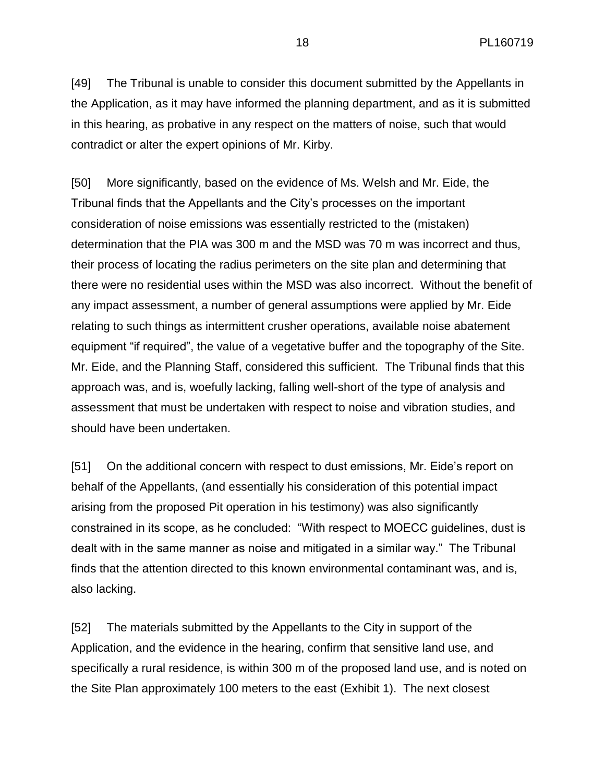[49] The Tribunal is unable to consider this document submitted by the Appellants in the Application, as it may have informed the planning department, and as it is submitted in this hearing, as probative in any respect on the matters of noise, such that would contradict or alter the expert opinions of Mr. Kirby.

[50] More significantly, based on the evidence of Ms. Welsh and Mr. Eide, the Tribunal finds that the Appellants and the City's processes on the important consideration of noise emissions was essentially restricted to the (mistaken) determination that the PIA was 300 m and the MSD was 70 m was incorrect and thus, their process of locating the radius perimeters on the site plan and determining that there were no residential uses within the MSD was also incorrect. Without the benefit of any impact assessment, a number of general assumptions were applied by Mr. Eide relating to such things as intermittent crusher operations, available noise abatement equipment "if required", the value of a vegetative buffer and the topography of the Site. Mr. Eide, and the Planning Staff, considered this sufficient. The Tribunal finds that this approach was, and is, woefully lacking, falling well-short of the type of analysis and assessment that must be undertaken with respect to noise and vibration studies, and should have been undertaken.

[51] On the additional concern with respect to dust emissions, Mr. Eide's report on behalf of the Appellants, (and essentially his consideration of this potential impact arising from the proposed Pit operation in his testimony) was also significantly constrained in its scope, as he concluded: "With respect to MOECC guidelines, dust is dealt with in the same manner as noise and mitigated in a similar way." The Tribunal finds that the attention directed to this known environmental contaminant was, and is, also lacking.

[52] The materials submitted by the Appellants to the City in support of the Application, and the evidence in the hearing, confirm that sensitive land use, and specifically a rural residence, is within 300 m of the proposed land use, and is noted on the Site Plan approximately 100 meters to the east (Exhibit 1). The next closest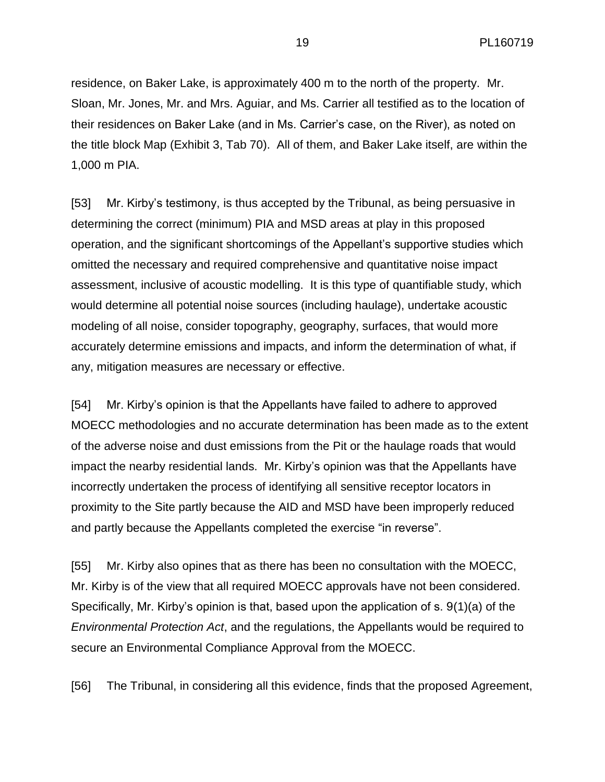residence, on Baker Lake, is approximately 400 m to the north of the property. Mr. Sloan, Mr. Jones, Mr. and Mrs. Aguiar, and Ms. Carrier all testified as to the location of their residences on Baker Lake (and in Ms. Carrier's case, on the River), as noted on the title block Map (Exhibit 3, Tab 70). All of them, and Baker Lake itself, are within the 1,000 m PIA.

[53] Mr. Kirby's testimony, is thus accepted by the Tribunal, as being persuasive in determining the correct (minimum) PIA and MSD areas at play in this proposed operation, and the significant shortcomings of the Appellant's supportive studies which omitted the necessary and required comprehensive and quantitative noise impact assessment, inclusive of acoustic modelling. It is this type of quantifiable study, which would determine all potential noise sources (including haulage), undertake acoustic modeling of all noise, consider topography, geography, surfaces, that would more accurately determine emissions and impacts, and inform the determination of what, if any, mitigation measures are necessary or effective.

[54] Mr. Kirby's opinion is that the Appellants have failed to adhere to approved MOECC methodologies and no accurate determination has been made as to the extent of the adverse noise and dust emissions from the Pit or the haulage roads that would impact the nearby residential lands. Mr. Kirby's opinion was that the Appellants have incorrectly undertaken the process of identifying all sensitive receptor locators in proximity to the Site partly because the AID and MSD have been improperly reduced and partly because the Appellants completed the exercise "in reverse".

[55] Mr. Kirby also opines that as there has been no consultation with the MOECC, Mr. Kirby is of the view that all required MOECC approvals have not been considered. Specifically, Mr. Kirby's opinion is that, based upon the application of s. 9(1)(a) of the *Environmental Protection Act*, and the regulations, the Appellants would be required to secure an Environmental Compliance Approval from the MOECC.

[56] The Tribunal, in considering all this evidence, finds that the proposed Agreement,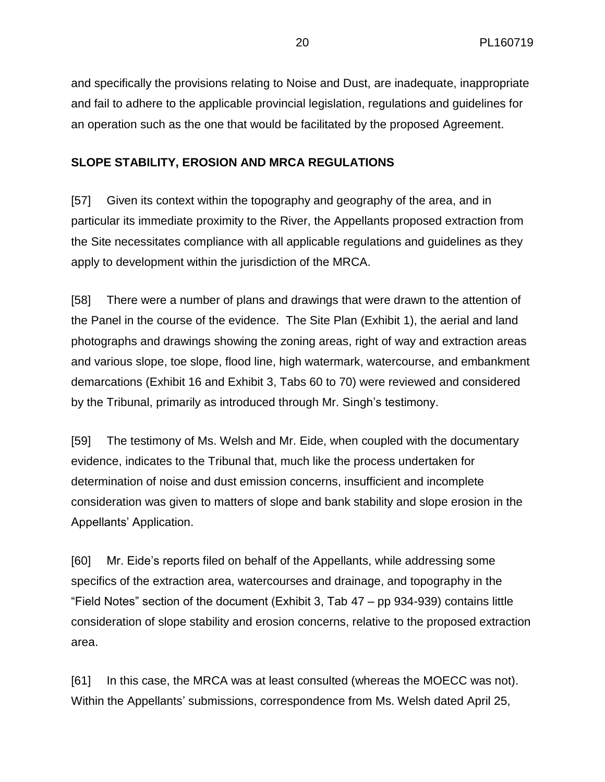and specifically the provisions relating to Noise and Dust, are inadequate, inappropriate and fail to adhere to the applicable provincial legislation, regulations and guidelines for an operation such as the one that would be facilitated by the proposed Agreement.

## **SLOPE STABILITY, EROSION AND MRCA REGULATIONS**

[57] Given its context within the topography and geography of the area, and in particular its immediate proximity to the River, the Appellants proposed extraction from the Site necessitates compliance with all applicable regulations and guidelines as they apply to development within the jurisdiction of the MRCA.

[58] There were a number of plans and drawings that were drawn to the attention of the Panel in the course of the evidence. The Site Plan (Exhibit 1), the aerial and land photographs and drawings showing the zoning areas, right of way and extraction areas and various slope, toe slope, flood line, high watermark, watercourse, and embankment demarcations (Exhibit 16 and Exhibit 3, Tabs 60 to 70) were reviewed and considered by the Tribunal, primarily as introduced through Mr. Singh's testimony.

[59] The testimony of Ms. Welsh and Mr. Eide, when coupled with the documentary evidence, indicates to the Tribunal that, much like the process undertaken for determination of noise and dust emission concerns, insufficient and incomplete consideration was given to matters of slope and bank stability and slope erosion in the Appellants' Application.

[60] Mr. Eide's reports filed on behalf of the Appellants, while addressing some specifics of the extraction area, watercourses and drainage, and topography in the "Field Notes" section of the document (Exhibit 3, Tab 47 – pp 934-939) contains little consideration of slope stability and erosion concerns, relative to the proposed extraction area.

[61] In this case, the MRCA was at least consulted (whereas the MOECC was not). Within the Appellants' submissions, correspondence from Ms. Welsh dated April 25,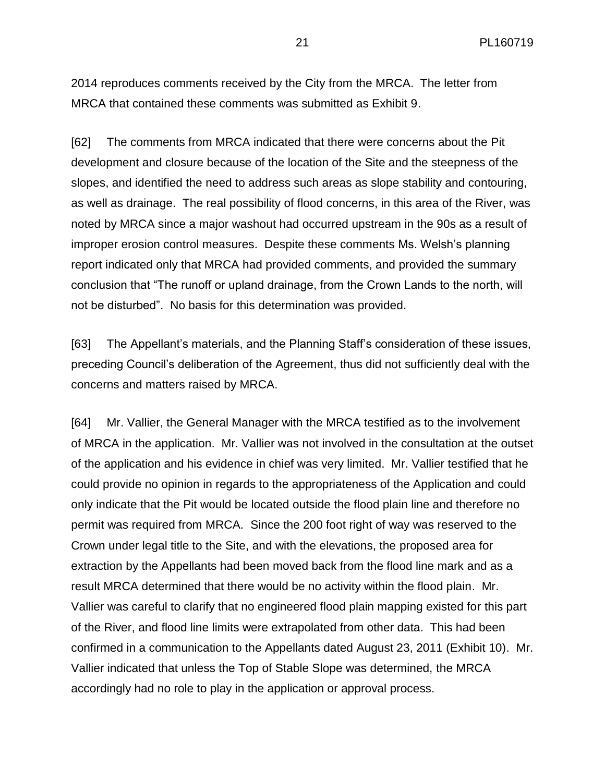2014 reproduces comments received by the City from the MRCA. The letter from MRCA that contained these comments was submitted as Exhibit 9.

[62] The comments from MRCA indicated that there were concerns about the Pit development and closure because of the location of the Site and the steepness of the slopes, and identified the need to address such areas as slope stability and contouring, as well as drainage. The real possibility of flood concerns, in this area of the River, was noted by MRCA since a major washout had occurred upstream in the 90s as a result of improper erosion control measures. Despite these comments Ms. Welsh's planning report indicated only that MRCA had provided comments, and provided the summary conclusion that "The runoff or upland drainage, from the Crown Lands to the north, will not be disturbed". No basis for this determination was provided.

[63] The Appellant's materials, and the Planning Staff's consideration of these issues, preceding Council's deliberation of the Agreement, thus did not sufficiently deal with the concerns and matters raised by MRCA.

[64] Mr. Vallier, the General Manager with the MRCA testified as to the involvement of MRCA in the application. Mr. Vallier was not involved in the consultation at the outset of the application and his evidence in chief was very limited. Mr. Vallier testified that he could provide no opinion in regards to the appropriateness of the Application and could only indicate that the Pit would be located outside the flood plain line and therefore no permit was required from MRCA. Since the 200 foot right of way was reserved to the Crown under legal title to the Site, and with the elevations, the proposed area for extraction by the Appellants had been moved back from the flood line mark and as a result MRCA determined that there would be no activity within the flood plain. Mr. Vallier was careful to clarify that no engineered flood plain mapping existed for this part of the River, and flood line limits were extrapolated from other data. This had been confirmed in a communication to the Appellants dated August 23, 2011 (Exhibit 10). Mr. Vallier indicated that unless the Top of Stable Slope was determined, the MRCA accordingly had no role to play in the application or approval process.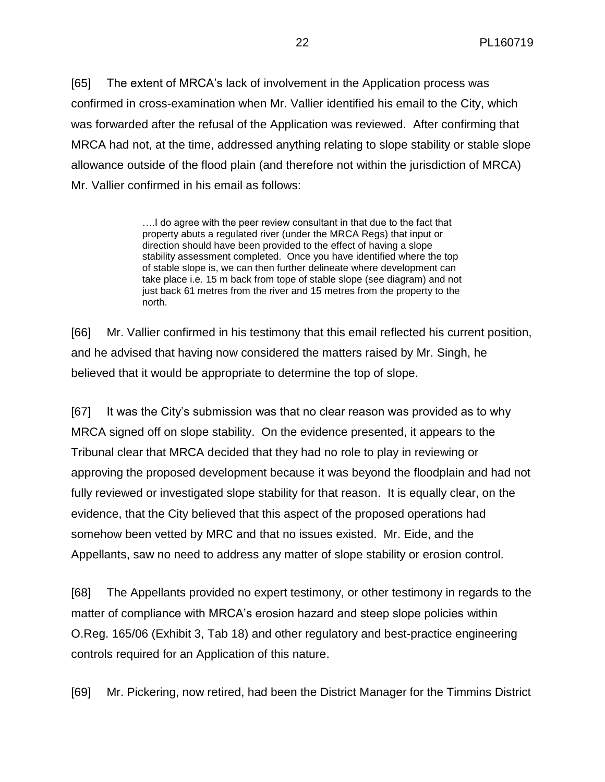[65] The extent of MRCA's lack of involvement in the Application process was confirmed in cross-examination when Mr. Vallier identified his email to the City, which was forwarded after the refusal of the Application was reviewed. After confirming that MRCA had not, at the time, addressed anything relating to slope stability or stable slope allowance outside of the flood plain (and therefore not within the jurisdiction of MRCA) Mr. Vallier confirmed in his email as follows:

> ….I do agree with the peer review consultant in that due to the fact that property abuts a regulated river (under the MRCA Regs) that input or direction should have been provided to the effect of having a slope stability assessment completed. Once you have identified where the top of stable slope is, we can then further delineate where development can take place i.e. 15 m back from tope of stable slope (see diagram) and not just back 61 metres from the river and 15 metres from the property to the north.

[66] Mr. Vallier confirmed in his testimony that this email reflected his current position, and he advised that having now considered the matters raised by Mr. Singh, he believed that it would be appropriate to determine the top of slope.

[67] It was the City's submission was that no clear reason was provided as to why MRCA signed off on slope stability. On the evidence presented, it appears to the Tribunal clear that MRCA decided that they had no role to play in reviewing or approving the proposed development because it was beyond the floodplain and had not fully reviewed or investigated slope stability for that reason. It is equally clear, on the evidence, that the City believed that this aspect of the proposed operations had somehow been vetted by MRC and that no issues existed. Mr. Eide, and the Appellants, saw no need to address any matter of slope stability or erosion control.

[68] The Appellants provided no expert testimony, or other testimony in regards to the matter of compliance with MRCA's erosion hazard and steep slope policies within O.Reg. 165/06 (Exhibit 3, Tab 18) and other regulatory and best-practice engineering controls required for an Application of this nature.

[69] Mr. Pickering, now retired, had been the District Manager for the Timmins District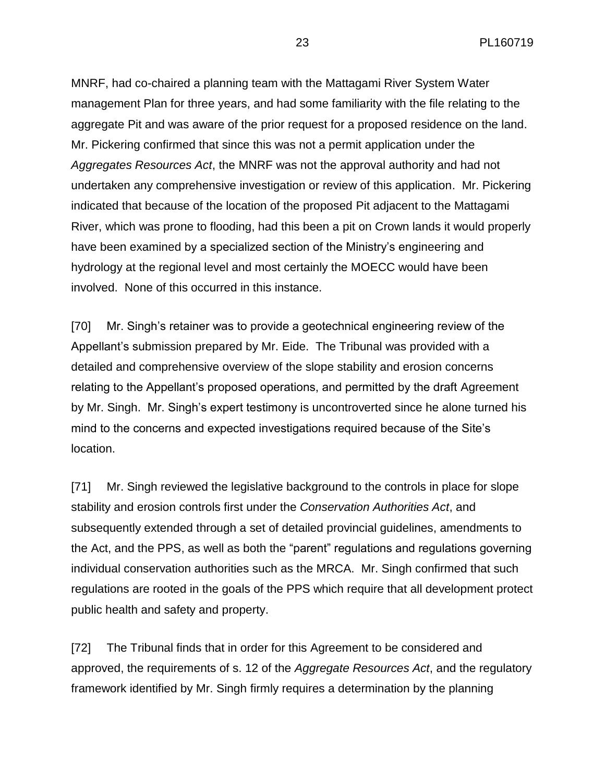MNRF, had co-chaired a planning team with the Mattagami River System Water management Plan for three years, and had some familiarity with the file relating to the aggregate Pit and was aware of the prior request for a proposed residence on the land. Mr. Pickering confirmed that since this was not a permit application under the *Aggregates Resources Act*, the MNRF was not the approval authority and had not undertaken any comprehensive investigation or review of this application. Mr. Pickering indicated that because of the location of the proposed Pit adjacent to the Mattagami River, which was prone to flooding, had this been a pit on Crown lands it would properly have been examined by a specialized section of the Ministry's engineering and hydrology at the regional level and most certainly the MOECC would have been involved. None of this occurred in this instance.

[70] Mr. Singh's retainer was to provide a geotechnical engineering review of the Appellant's submission prepared by Mr. Eide. The Tribunal was provided with a detailed and comprehensive overview of the slope stability and erosion concerns relating to the Appellant's proposed operations, and permitted by the draft Agreement by Mr. Singh. Mr. Singh's expert testimony is uncontroverted since he alone turned his mind to the concerns and expected investigations required because of the Site's location.

[71] Mr. Singh reviewed the legislative background to the controls in place for slope stability and erosion controls first under the *Conservation Authorities Act*, and subsequently extended through a set of detailed provincial guidelines, amendments to the Act, and the PPS, as well as both the "parent" regulations and regulations governing individual conservation authorities such as the MRCA. Mr. Singh confirmed that such regulations are rooted in the goals of the PPS which require that all development protect public health and safety and property.

[72] The Tribunal finds that in order for this Agreement to be considered and approved, the requirements of s. 12 of the *Aggregate Resources Act*, and the regulatory framework identified by Mr. Singh firmly requires a determination by the planning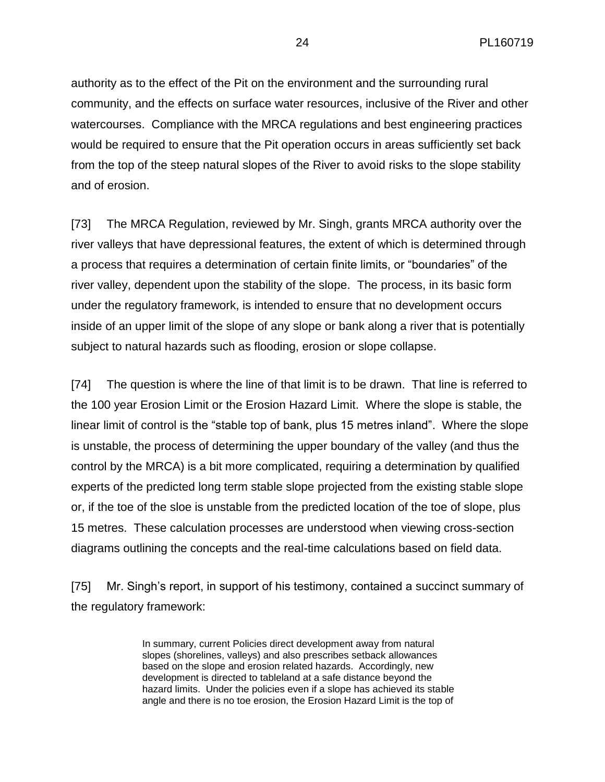authority as to the effect of the Pit on the environment and the surrounding rural community, and the effects on surface water resources, inclusive of the River and other watercourses. Compliance with the MRCA regulations and best engineering practices would be required to ensure that the Pit operation occurs in areas sufficiently set back from the top of the steep natural slopes of the River to avoid risks to the slope stability and of erosion.

[73] The MRCA Regulation, reviewed by Mr. Singh, grants MRCA authority over the river valleys that have depressional features, the extent of which is determined through a process that requires a determination of certain finite limits, or "boundaries" of the river valley, dependent upon the stability of the slope. The process, in its basic form under the regulatory framework, is intended to ensure that no development occurs inside of an upper limit of the slope of any slope or bank along a river that is potentially subject to natural hazards such as flooding, erosion or slope collapse.

[74] The question is where the line of that limit is to be drawn. That line is referred to the 100 year Erosion Limit or the Erosion Hazard Limit. Where the slope is stable, the linear limit of control is the "stable top of bank, plus 15 metres inland". Where the slope is unstable, the process of determining the upper boundary of the valley (and thus the control by the MRCA) is a bit more complicated, requiring a determination by qualified experts of the predicted long term stable slope projected from the existing stable slope or, if the toe of the sloe is unstable from the predicted location of the toe of slope, plus 15 metres. These calculation processes are understood when viewing cross-section diagrams outlining the concepts and the real-time calculations based on field data.

[75] Mr. Singh's report, in support of his testimony, contained a succinct summary of the regulatory framework:

> In summary, current Policies direct development away from natural slopes (shorelines, valleys) and also prescribes setback allowances based on the slope and erosion related hazards. Accordingly, new development is directed to tableland at a safe distance beyond the hazard limits. Under the policies even if a slope has achieved its stable angle and there is no toe erosion, the Erosion Hazard Limit is the top of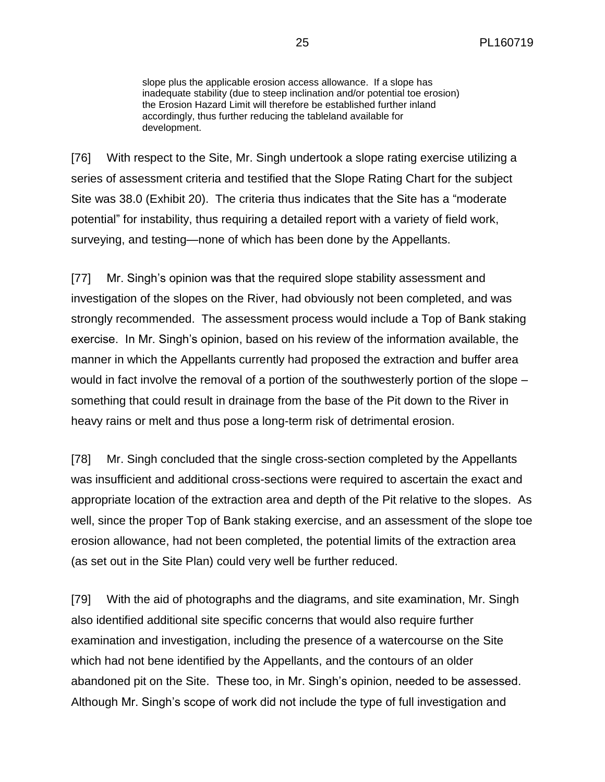slope plus the applicable erosion access allowance. If a slope has inadequate stability (due to steep inclination and/or potential toe erosion) the Erosion Hazard Limit will therefore be established further inland accordingly, thus further reducing the tableland available for development.

[76] With respect to the Site, Mr. Singh undertook a slope rating exercise utilizing a series of assessment criteria and testified that the Slope Rating Chart for the subject Site was 38.0 (Exhibit 20). The criteria thus indicates that the Site has a "moderate potential" for instability, thus requiring a detailed report with a variety of field work, surveying, and testing—none of which has been done by the Appellants.

[77] Mr. Singh's opinion was that the required slope stability assessment and investigation of the slopes on the River, had obviously not been completed, and was strongly recommended. The assessment process would include a Top of Bank staking exercise. In Mr. Singh's opinion, based on his review of the information available, the manner in which the Appellants currently had proposed the extraction and buffer area would in fact involve the removal of a portion of the southwesterly portion of the slope – something that could result in drainage from the base of the Pit down to the River in heavy rains or melt and thus pose a long-term risk of detrimental erosion.

[78] Mr. Singh concluded that the single cross-section completed by the Appellants was insufficient and additional cross-sections were required to ascertain the exact and appropriate location of the extraction area and depth of the Pit relative to the slopes. As well, since the proper Top of Bank staking exercise, and an assessment of the slope toe erosion allowance, had not been completed, the potential limits of the extraction area (as set out in the Site Plan) could very well be further reduced.

[79] With the aid of photographs and the diagrams, and site examination, Mr. Singh also identified additional site specific concerns that would also require further examination and investigation, including the presence of a watercourse on the Site which had not bene identified by the Appellants, and the contours of an older abandoned pit on the Site. These too, in Mr. Singh's opinion, needed to be assessed. Although Mr. Singh's scope of work did not include the type of full investigation and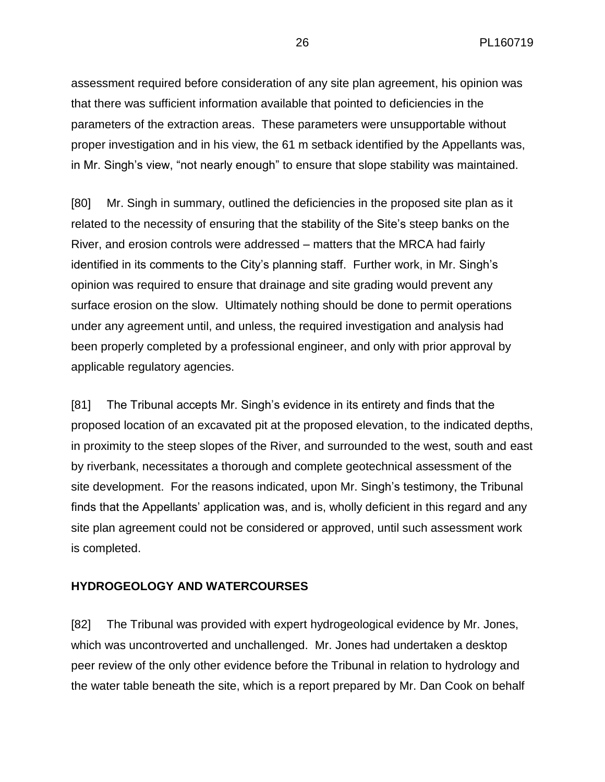assessment required before consideration of any site plan agreement, his opinion was that there was sufficient information available that pointed to deficiencies in the parameters of the extraction areas. These parameters were unsupportable without proper investigation and in his view, the 61 m setback identified by the Appellants was, in Mr. Singh's view, "not nearly enough" to ensure that slope stability was maintained.

[80] Mr. Singh in summary, outlined the deficiencies in the proposed site plan as it related to the necessity of ensuring that the stability of the Site's steep banks on the River, and erosion controls were addressed – matters that the MRCA had fairly identified in its comments to the City's planning staff. Further work, in Mr. Singh's opinion was required to ensure that drainage and site grading would prevent any surface erosion on the slow. Ultimately nothing should be done to permit operations under any agreement until, and unless, the required investigation and analysis had been properly completed by a professional engineer, and only with prior approval by applicable regulatory agencies.

[81] The Tribunal accepts Mr. Singh's evidence in its entirety and finds that the proposed location of an excavated pit at the proposed elevation, to the indicated depths, in proximity to the steep slopes of the River, and surrounded to the west, south and east by riverbank, necessitates a thorough and complete geotechnical assessment of the site development. For the reasons indicated, upon Mr. Singh's testimony, the Tribunal finds that the Appellants' application was, and is, wholly deficient in this regard and any site plan agreement could not be considered or approved, until such assessment work is completed.

#### **HYDROGEOLOGY AND WATERCOURSES**

[82] The Tribunal was provided with expert hydrogeological evidence by Mr. Jones, which was uncontroverted and unchallenged. Mr. Jones had undertaken a desktop peer review of the only other evidence before the Tribunal in relation to hydrology and the water table beneath the site, which is a report prepared by Mr. Dan Cook on behalf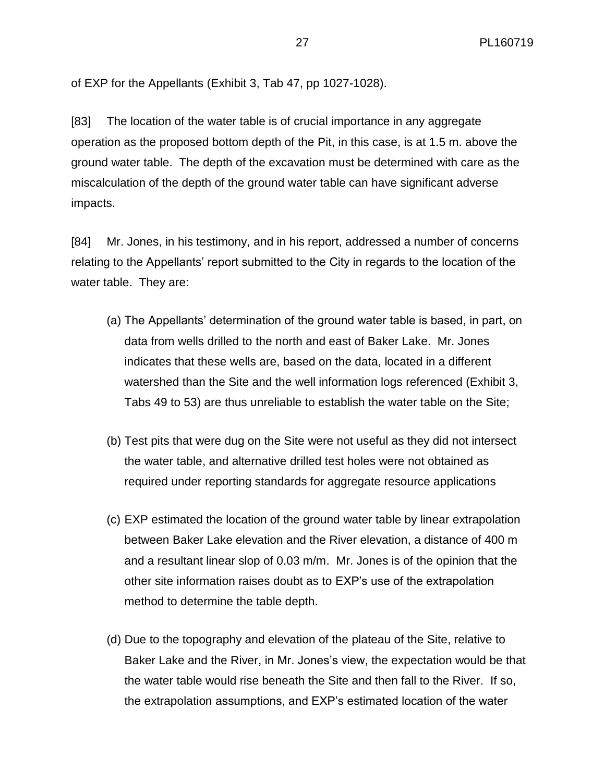of EXP for the Appellants (Exhibit 3, Tab 47, pp 1027-1028).

[83] The location of the water table is of crucial importance in any aggregate operation as the proposed bottom depth of the Pit, in this case, is at 1.5 m. above the ground water table. The depth of the excavation must be determined with care as the miscalculation of the depth of the ground water table can have significant adverse impacts.

[84] Mr. Jones, in his testimony, and in his report, addressed a number of concerns relating to the Appellants' report submitted to the City in regards to the location of the water table. They are:

- (a) The Appellants' determination of the ground water table is based, in part, on data from wells drilled to the north and east of Baker Lake. Mr. Jones indicates that these wells are, based on the data, located in a different watershed than the Site and the well information logs referenced (Exhibit 3, Tabs 49 to 53) are thus unreliable to establish the water table on the Site;
- (b) Test pits that were dug on the Site were not useful as they did not intersect the water table, and alternative drilled test holes were not obtained as required under reporting standards for aggregate resource applications
- (c) EXP estimated the location of the ground water table by linear extrapolation between Baker Lake elevation and the River elevation, a distance of 400 m and a resultant linear slop of 0.03 m/m. Mr. Jones is of the opinion that the other site information raises doubt as to EXP's use of the extrapolation method to determine the table depth.
- (d) Due to the topography and elevation of the plateau of the Site, relative to Baker Lake and the River, in Mr. Jones's view, the expectation would be that the water table would rise beneath the Site and then fall to the River. If so, the extrapolation assumptions, and EXP's estimated location of the water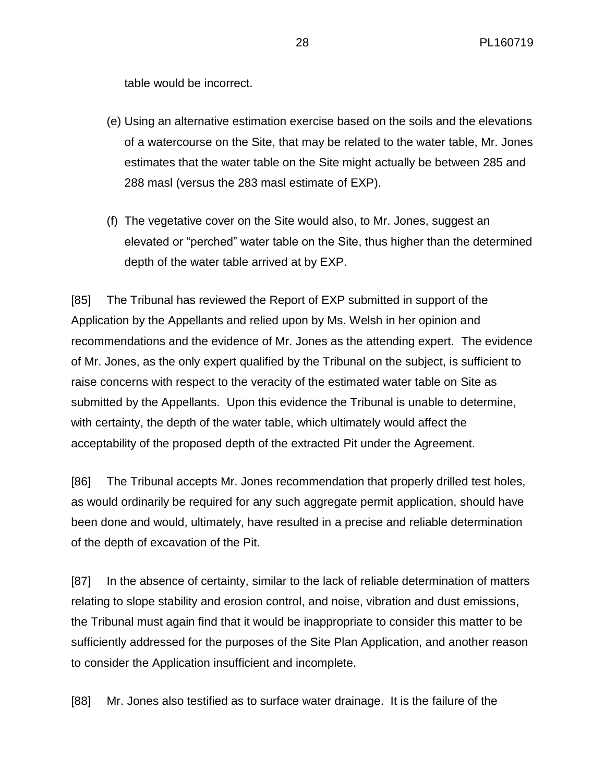table would be incorrect.

- (e) Using an alternative estimation exercise based on the soils and the elevations of a watercourse on the Site, that may be related to the water table, Mr. Jones estimates that the water table on the Site might actually be between 285 and 288 masl (versus the 283 masl estimate of EXP).
- (f) The vegetative cover on the Site would also, to Mr. Jones, suggest an elevated or "perched" water table on the Site, thus higher than the determined depth of the water table arrived at by EXP.

[85] The Tribunal has reviewed the Report of EXP submitted in support of the Application by the Appellants and relied upon by Ms. Welsh in her opinion and recommendations and the evidence of Mr. Jones as the attending expert. The evidence of Mr. Jones, as the only expert qualified by the Tribunal on the subject, is sufficient to raise concerns with respect to the veracity of the estimated water table on Site as submitted by the Appellants. Upon this evidence the Tribunal is unable to determine, with certainty, the depth of the water table, which ultimately would affect the acceptability of the proposed depth of the extracted Pit under the Agreement.

[86] The Tribunal accepts Mr. Jones recommendation that properly drilled test holes, as would ordinarily be required for any such aggregate permit application, should have been done and would, ultimately, have resulted in a precise and reliable determination of the depth of excavation of the Pit.

[87] In the absence of certainty, similar to the lack of reliable determination of matters relating to slope stability and erosion control, and noise, vibration and dust emissions, the Tribunal must again find that it would be inappropriate to consider this matter to be sufficiently addressed for the purposes of the Site Plan Application, and another reason to consider the Application insufficient and incomplete.

[88] Mr. Jones also testified as to surface water drainage. It is the failure of the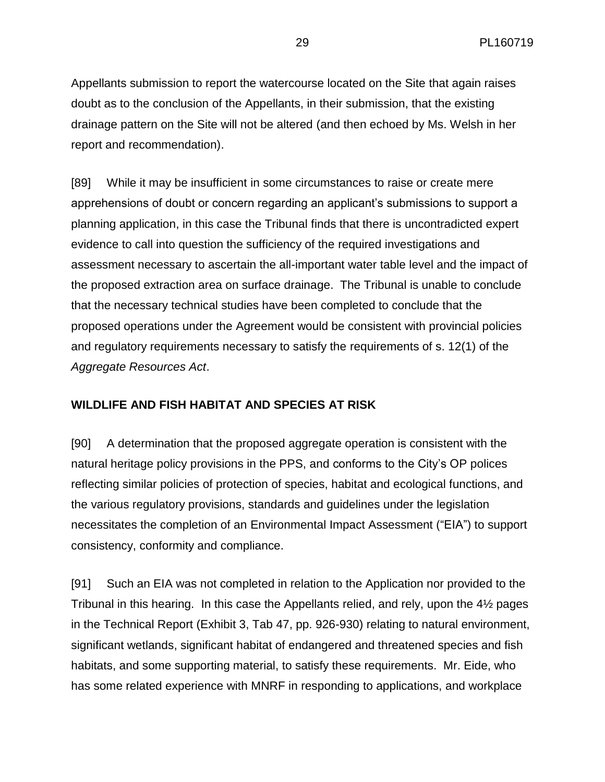Appellants submission to report the watercourse located on the Site that again raises doubt as to the conclusion of the Appellants, in their submission, that the existing drainage pattern on the Site will not be altered (and then echoed by Ms. Welsh in her report and recommendation).

[89] While it may be insufficient in some circumstances to raise or create mere apprehensions of doubt or concern regarding an applicant's submissions to support a planning application, in this case the Tribunal finds that there is uncontradicted expert evidence to call into question the sufficiency of the required investigations and assessment necessary to ascertain the all-important water table level and the impact of the proposed extraction area on surface drainage. The Tribunal is unable to conclude that the necessary technical studies have been completed to conclude that the proposed operations under the Agreement would be consistent with provincial policies and regulatory requirements necessary to satisfy the requirements of s. 12(1) of the *Aggregate Resources Act*.

#### **WILDLIFE AND FISH HABITAT AND SPECIES AT RISK**

[90] A determination that the proposed aggregate operation is consistent with the natural heritage policy provisions in the PPS, and conforms to the City's OP polices reflecting similar policies of protection of species, habitat and ecological functions, and the various regulatory provisions, standards and guidelines under the legislation necessitates the completion of an Environmental Impact Assessment ("EIA") to support consistency, conformity and compliance.

[91] Such an EIA was not completed in relation to the Application nor provided to the Tribunal in this hearing. In this case the Appellants relied, and rely, upon the 4½ pages in the Technical Report (Exhibit 3, Tab 47, pp. 926-930) relating to natural environment, significant wetlands, significant habitat of endangered and threatened species and fish habitats, and some supporting material, to satisfy these requirements. Mr. Eide, who has some related experience with MNRF in responding to applications, and workplace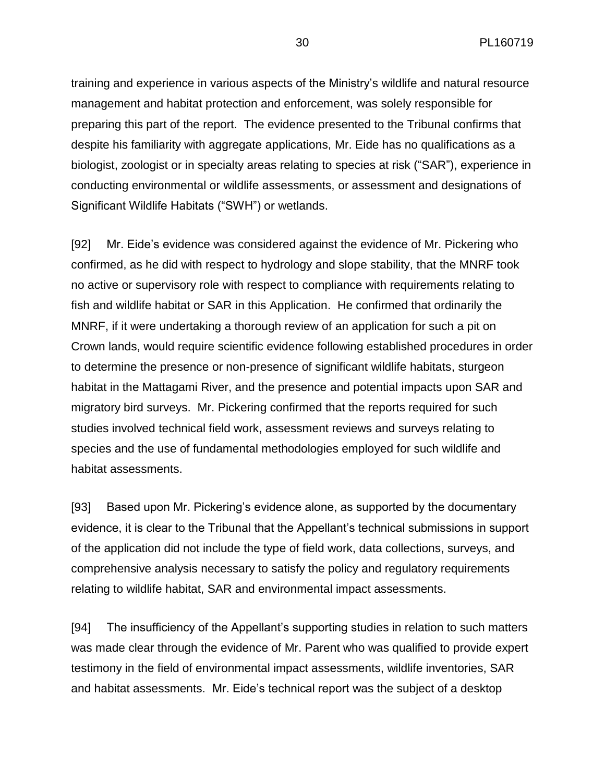training and experience in various aspects of the Ministry's wildlife and natural resource management and habitat protection and enforcement, was solely responsible for preparing this part of the report. The evidence presented to the Tribunal confirms that despite his familiarity with aggregate applications, Mr. Eide has no qualifications as a biologist, zoologist or in specialty areas relating to species at risk ("SAR"), experience in conducting environmental or wildlife assessments, or assessment and designations of Significant Wildlife Habitats ("SWH") or wetlands.

[92] Mr. Eide's evidence was considered against the evidence of Mr. Pickering who confirmed, as he did with respect to hydrology and slope stability, that the MNRF took no active or supervisory role with respect to compliance with requirements relating to fish and wildlife habitat or SAR in this Application. He confirmed that ordinarily the MNRF, if it were undertaking a thorough review of an application for such a pit on Crown lands, would require scientific evidence following established procedures in order to determine the presence or non-presence of significant wildlife habitats, sturgeon habitat in the Mattagami River, and the presence and potential impacts upon SAR and migratory bird surveys. Mr. Pickering confirmed that the reports required for such studies involved technical field work, assessment reviews and surveys relating to species and the use of fundamental methodologies employed for such wildlife and habitat assessments.

[93] Based upon Mr. Pickering's evidence alone, as supported by the documentary evidence, it is clear to the Tribunal that the Appellant's technical submissions in support of the application did not include the type of field work, data collections, surveys, and comprehensive analysis necessary to satisfy the policy and regulatory requirements relating to wildlife habitat, SAR and environmental impact assessments.

[94] The insufficiency of the Appellant's supporting studies in relation to such matters was made clear through the evidence of Mr. Parent who was qualified to provide expert testimony in the field of environmental impact assessments, wildlife inventories, SAR and habitat assessments. Mr. Eide's technical report was the subject of a desktop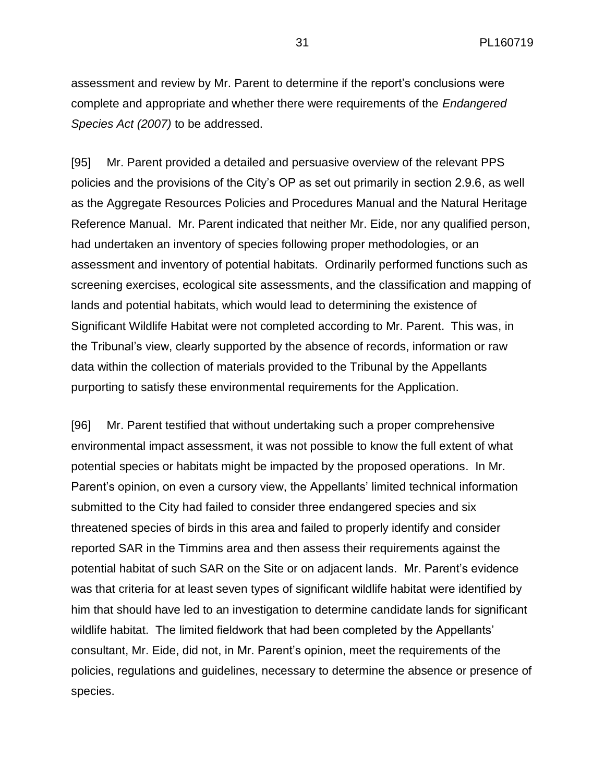assessment and review by Mr. Parent to determine if the report's conclusions were complete and appropriate and whether there were requirements of the *Endangered Species Act (2007)* to be addressed.

[95] Mr. Parent provided a detailed and persuasive overview of the relevant PPS policies and the provisions of the City's OP as set out primarily in section 2.9.6, as well as the Aggregate Resources Policies and Procedures Manual and the Natural Heritage Reference Manual. Mr. Parent indicated that neither Mr. Eide, nor any qualified person, had undertaken an inventory of species following proper methodologies, or an assessment and inventory of potential habitats. Ordinarily performed functions such as screening exercises, ecological site assessments, and the classification and mapping of lands and potential habitats, which would lead to determining the existence of Significant Wildlife Habitat were not completed according to Mr. Parent. This was, in the Tribunal's view, clearly supported by the absence of records, information or raw data within the collection of materials provided to the Tribunal by the Appellants purporting to satisfy these environmental requirements for the Application.

[96] Mr. Parent testified that without undertaking such a proper comprehensive environmental impact assessment, it was not possible to know the full extent of what potential species or habitats might be impacted by the proposed operations. In Mr. Parent's opinion, on even a cursory view, the Appellants' limited technical information submitted to the City had failed to consider three endangered species and six threatened species of birds in this area and failed to properly identify and consider reported SAR in the Timmins area and then assess their requirements against the potential habitat of such SAR on the Site or on adjacent lands. Mr. Parent's evidence was that criteria for at least seven types of significant wildlife habitat were identified by him that should have led to an investigation to determine candidate lands for significant wildlife habitat. The limited fieldwork that had been completed by the Appellants' consultant, Mr. Eide, did not, in Mr. Parent's opinion, meet the requirements of the policies, regulations and guidelines, necessary to determine the absence or presence of species.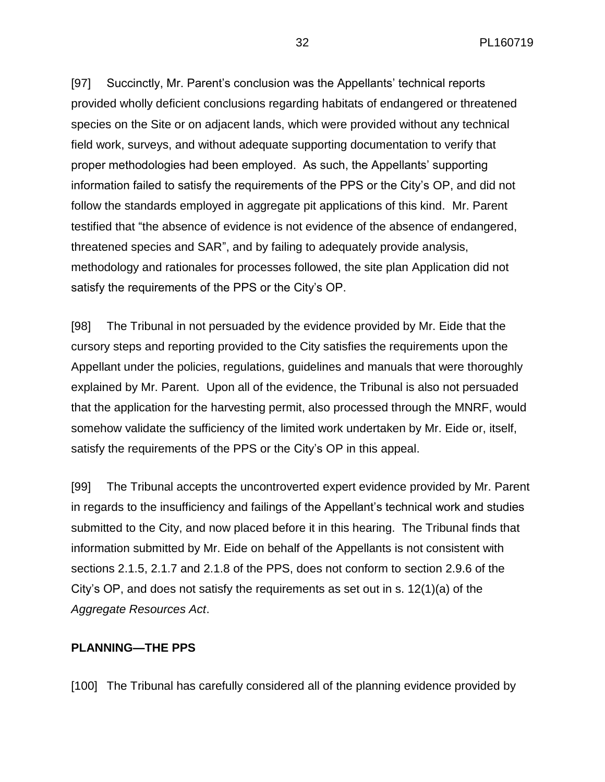[97] Succinctly, Mr. Parent's conclusion was the Appellants' technical reports provided wholly deficient conclusions regarding habitats of endangered or threatened species on the Site or on adjacent lands, which were provided without any technical field work, surveys, and without adequate supporting documentation to verify that proper methodologies had been employed. As such, the Appellants' supporting information failed to satisfy the requirements of the PPS or the City's OP, and did not follow the standards employed in aggregate pit applications of this kind. Mr. Parent testified that "the absence of evidence is not evidence of the absence of endangered, threatened species and SAR", and by failing to adequately provide analysis, methodology and rationales for processes followed, the site plan Application did not satisfy the requirements of the PPS or the City's OP.

[98] The Tribunal in not persuaded by the evidence provided by Mr. Eide that the cursory steps and reporting provided to the City satisfies the requirements upon the Appellant under the policies, regulations, guidelines and manuals that were thoroughly explained by Mr. Parent. Upon all of the evidence, the Tribunal is also not persuaded that the application for the harvesting permit, also processed through the MNRF, would somehow validate the sufficiency of the limited work undertaken by Mr. Eide or, itself, satisfy the requirements of the PPS or the City's OP in this appeal.

[99] The Tribunal accepts the uncontroverted expert evidence provided by Mr. Parent in regards to the insufficiency and failings of the Appellant's technical work and studies submitted to the City, and now placed before it in this hearing. The Tribunal finds that information submitted by Mr. Eide on behalf of the Appellants is not consistent with sections 2.1.5, 2.1.7 and 2.1.8 of the PPS, does not conform to section 2.9.6 of the City's OP, and does not satisfy the requirements as set out in s.  $12(1)(a)$  of the *Aggregate Resources Act*.

#### **PLANNING—THE PPS**

[100] The Tribunal has carefully considered all of the planning evidence provided by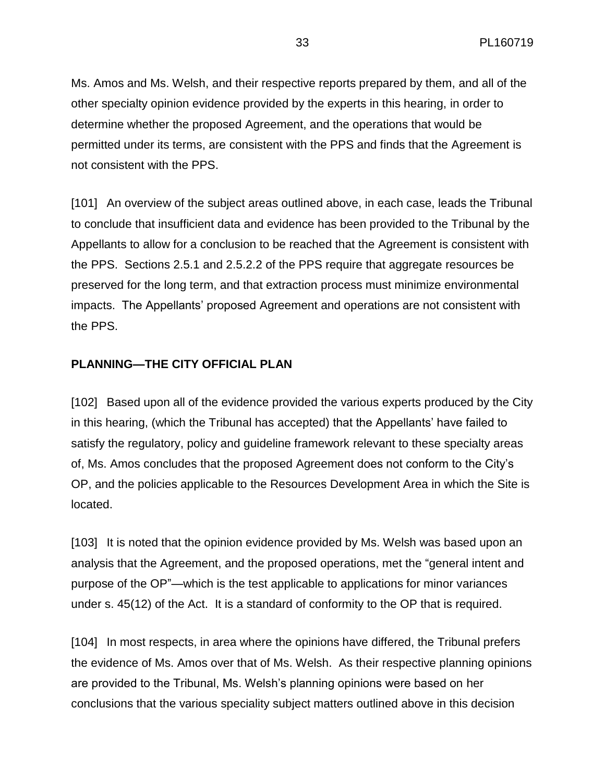Ms. Amos and Ms. Welsh, and their respective reports prepared by them, and all of the other specialty opinion evidence provided by the experts in this hearing, in order to determine whether the proposed Agreement, and the operations that would be permitted under its terms, are consistent with the PPS and finds that the Agreement is not consistent with the PPS.

[101] An overview of the subject areas outlined above, in each case, leads the Tribunal to conclude that insufficient data and evidence has been provided to the Tribunal by the Appellants to allow for a conclusion to be reached that the Agreement is consistent with the PPS. Sections 2.5.1 and 2.5.2.2 of the PPS require that aggregate resources be preserved for the long term, and that extraction process must minimize environmental impacts. The Appellants' proposed Agreement and operations are not consistent with the PPS.

#### **PLANNING—THE CITY OFFICIAL PLAN**

[102] Based upon all of the evidence provided the various experts produced by the City in this hearing, (which the Tribunal has accepted) that the Appellants' have failed to satisfy the regulatory, policy and guideline framework relevant to these specialty areas of, Ms. Amos concludes that the proposed Agreement does not conform to the City's OP, and the policies applicable to the Resources Development Area in which the Site is located.

[103] It is noted that the opinion evidence provided by Ms. Welsh was based upon an analysis that the Agreement, and the proposed operations, met the "general intent and purpose of the OP"—which is the test applicable to applications for minor variances under s. 45(12) of the Act. It is a standard of conformity to the OP that is required.

[104] In most respects, in area where the opinions have differed, the Tribunal prefers the evidence of Ms. Amos over that of Ms. Welsh. As their respective planning opinions are provided to the Tribunal, Ms. Welsh's planning opinions were based on her conclusions that the various speciality subject matters outlined above in this decision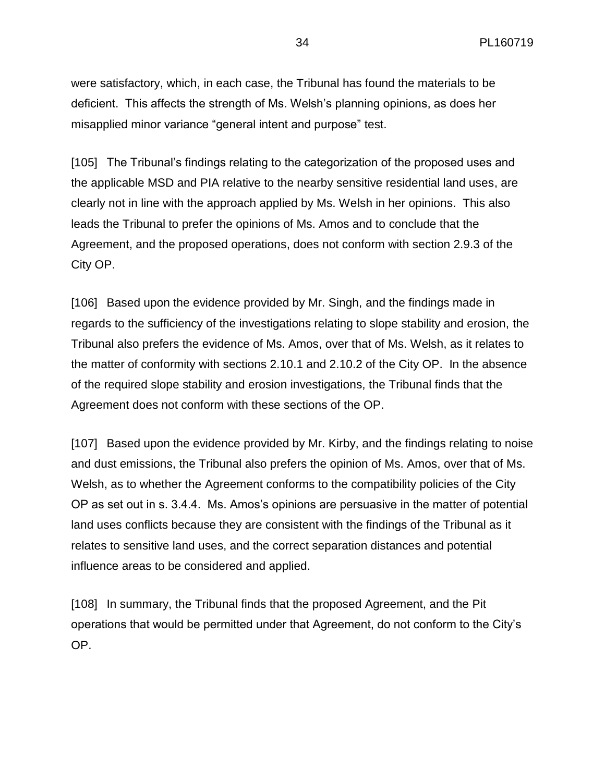were satisfactory, which, in each case, the Tribunal has found the materials to be deficient. This affects the strength of Ms. Welsh's planning opinions, as does her misapplied minor variance "general intent and purpose" test.

[105] The Tribunal's findings relating to the categorization of the proposed uses and the applicable MSD and PIA relative to the nearby sensitive residential land uses, are clearly not in line with the approach applied by Ms. Welsh in her opinions. This also leads the Tribunal to prefer the opinions of Ms. Amos and to conclude that the Agreement, and the proposed operations, does not conform with section 2.9.3 of the City OP.

[106] Based upon the evidence provided by Mr. Singh, and the findings made in regards to the sufficiency of the investigations relating to slope stability and erosion, the Tribunal also prefers the evidence of Ms. Amos, over that of Ms. Welsh, as it relates to the matter of conformity with sections 2.10.1 and 2.10.2 of the City OP. In the absence of the required slope stability and erosion investigations, the Tribunal finds that the Agreement does not conform with these sections of the OP.

[107] Based upon the evidence provided by Mr. Kirby, and the findings relating to noise and dust emissions, the Tribunal also prefers the opinion of Ms. Amos, over that of Ms. Welsh, as to whether the Agreement conforms to the compatibility policies of the City OP as set out in s. 3.4.4. Ms. Amos's opinions are persuasive in the matter of potential land uses conflicts because they are consistent with the findings of the Tribunal as it relates to sensitive land uses, and the correct separation distances and potential influence areas to be considered and applied.

[108] In summary, the Tribunal finds that the proposed Agreement, and the Pit operations that would be permitted under that Agreement, do not conform to the City's OP.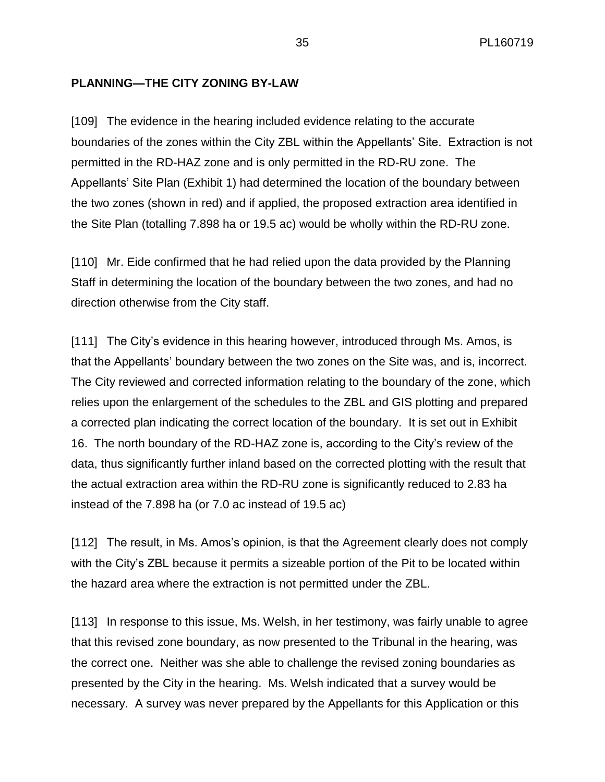#### **PLANNING—THE CITY ZONING BY-LAW**

[109] The evidence in the hearing included evidence relating to the accurate boundaries of the zones within the City ZBL within the Appellants' Site. Extraction is not permitted in the RD-HAZ zone and is only permitted in the RD-RU zone. The Appellants' Site Plan (Exhibit 1) had determined the location of the boundary between the two zones (shown in red) and if applied, the proposed extraction area identified in the Site Plan (totalling 7.898 ha or 19.5 ac) would be wholly within the RD-RU zone.

[110] Mr. Eide confirmed that he had relied upon the data provided by the Planning Staff in determining the location of the boundary between the two zones, and had no direction otherwise from the City staff.

[111] The City's evidence in this hearing however, introduced through Ms. Amos, is that the Appellants' boundary between the two zones on the Site was, and is, incorrect. The City reviewed and corrected information relating to the boundary of the zone, which relies upon the enlargement of the schedules to the ZBL and GIS plotting and prepared a corrected plan indicating the correct location of the boundary. It is set out in Exhibit 16. The north boundary of the RD-HAZ zone is, according to the City's review of the data, thus significantly further inland based on the corrected plotting with the result that the actual extraction area within the RD-RU zone is significantly reduced to 2.83 ha instead of the 7.898 ha (or 7.0 ac instead of 19.5 ac)

[112] The result, in Ms. Amos's opinion, is that the Agreement clearly does not comply with the City's ZBL because it permits a sizeable portion of the Pit to be located within the hazard area where the extraction is not permitted under the ZBL.

[113] In response to this issue, Ms. Welsh, in her testimony, was fairly unable to agree that this revised zone boundary, as now presented to the Tribunal in the hearing, was the correct one. Neither was she able to challenge the revised zoning boundaries as presented by the City in the hearing. Ms. Welsh indicated that a survey would be necessary. A survey was never prepared by the Appellants for this Application or this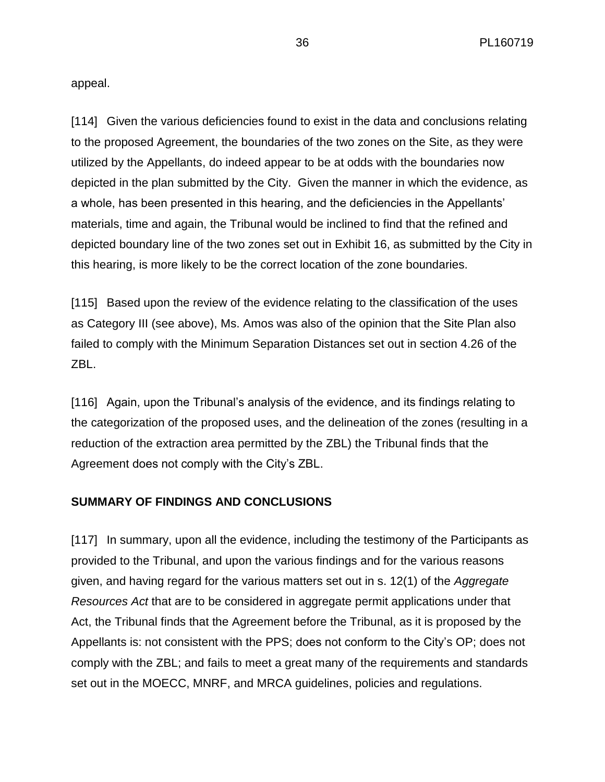appeal.

[114] Given the various deficiencies found to exist in the data and conclusions relating to the proposed Agreement, the boundaries of the two zones on the Site, as they were utilized by the Appellants, do indeed appear to be at odds with the boundaries now depicted in the plan submitted by the City. Given the manner in which the evidence, as a whole, has been presented in this hearing, and the deficiencies in the Appellants' materials, time and again, the Tribunal would be inclined to find that the refined and depicted boundary line of the two zones set out in Exhibit 16, as submitted by the City in this hearing, is more likely to be the correct location of the zone boundaries.

[115] Based upon the review of the evidence relating to the classification of the uses as Category III (see above), Ms. Amos was also of the opinion that the Site Plan also failed to comply with the Minimum Separation Distances set out in section 4.26 of the ZBL.

[116] Again, upon the Tribunal's analysis of the evidence, and its findings relating to the categorization of the proposed uses, and the delineation of the zones (resulting in a reduction of the extraction area permitted by the ZBL) the Tribunal finds that the Agreement does not comply with the City's ZBL.

#### **SUMMARY OF FINDINGS AND CONCLUSIONS**

[117] In summary, upon all the evidence, including the testimony of the Participants as provided to the Tribunal, and upon the various findings and for the various reasons given, and having regard for the various matters set out in s. 12(1) of the *Aggregate Resources Act* that are to be considered in aggregate permit applications under that Act, the Tribunal finds that the Agreement before the Tribunal, as it is proposed by the Appellants is: not consistent with the PPS; does not conform to the City's OP; does not comply with the ZBL; and fails to meet a great many of the requirements and standards set out in the MOECC, MNRF, and MRCA guidelines, policies and regulations.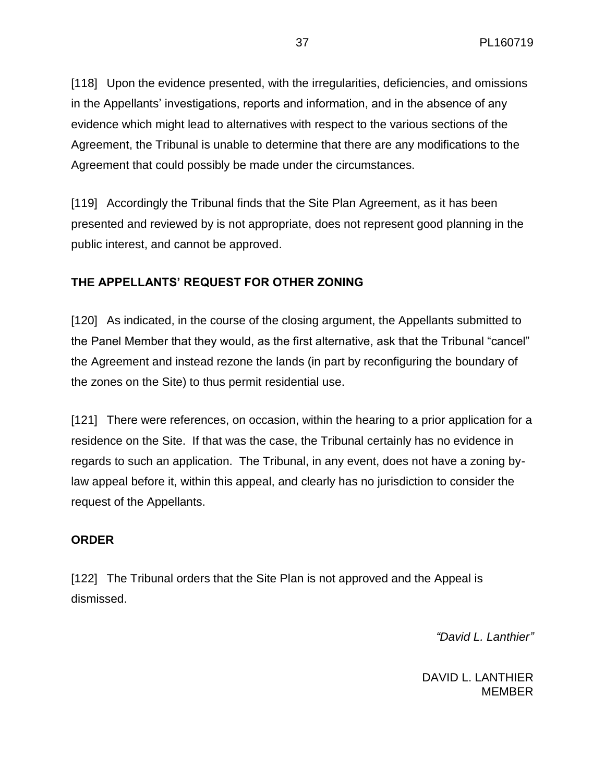[118] Upon the evidence presented, with the irregularities, deficiencies, and omissions in the Appellants' investigations, reports and information, and in the absence of any evidence which might lead to alternatives with respect to the various sections of the Agreement, the Tribunal is unable to determine that there are any modifications to the Agreement that could possibly be made under the circumstances.

[119] Accordingly the Tribunal finds that the Site Plan Agreement, as it has been presented and reviewed by is not appropriate, does not represent good planning in the public interest, and cannot be approved.

# **THE APPELLANTS' REQUEST FOR OTHER ZONING**

[120] As indicated, in the course of the closing argument, the Appellants submitted to the Panel Member that they would, as the first alternative, ask that the Tribunal "cancel" the Agreement and instead rezone the lands (in part by reconfiguring the boundary of the zones on the Site) to thus permit residential use.

[121] There were references, on occasion, within the hearing to a prior application for a residence on the Site. If that was the case, the Tribunal certainly has no evidence in regards to such an application. The Tribunal, in any event, does not have a zoning bylaw appeal before it, within this appeal, and clearly has no jurisdiction to consider the request of the Appellants.

#### **ORDER**

[122] The Tribunal orders that the Site Plan is not approved and the Appeal is dismissed.

*"David L. Lanthier"*

DAVID L. LANTHIER MEMBER